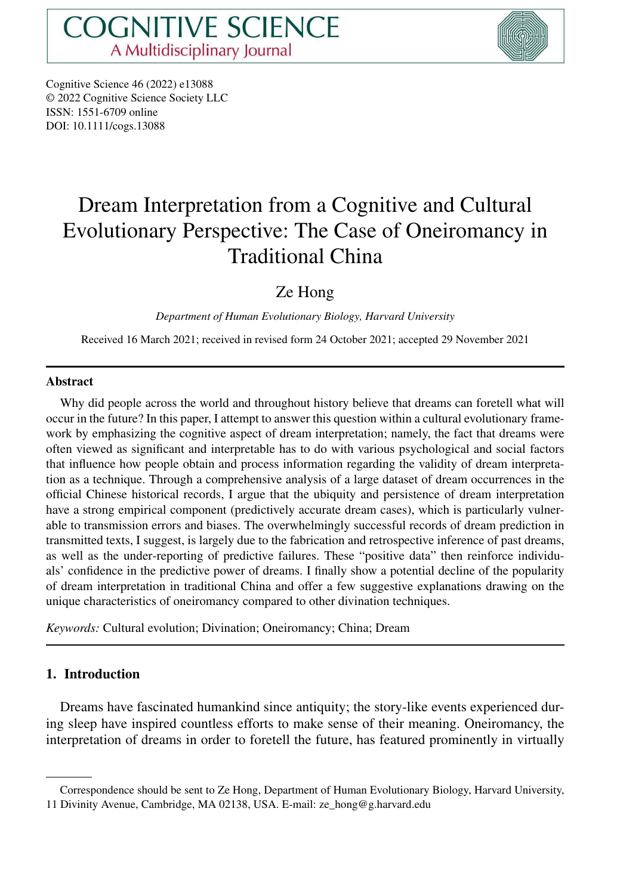

Cognitive Science 46 (2022) e13088 © 2022 Cognitive Science Society LLC ISSN: 1551-6709 online DOI: 10.1111/cogs.13088

# Dream Interpretation from a Cognitive and Cultural Evolutionary Perspective: The Case of Oneiromancy in Traditional China

# Ze Hong

*Department of Human Evolutionary Biology, Harvard University*

Received 16 March 2021; received in revised form 24 October 2021; accepted 29 November 2021

#### **Abstract**

Why did people across the world and throughout history believe that dreams can foretell what will occur in the future? In this paper, I attempt to answer this question within a cultural evolutionary framework by emphasizing the cognitive aspect of dream interpretation; namely, the fact that dreams were often viewed as significant and interpretable has to do with various psychological and social factors that influence how people obtain and process information regarding the validity of dream interpretation as a technique. Through a comprehensive analysis of a large dataset of dream occurrences in the official Chinese historical records, I argue that the ubiquity and persistence of dream interpretation have a strong empirical component (predictively accurate dream cases), which is particularly vulnerable to transmission errors and biases. The overwhelmingly successful records of dream prediction in transmitted texts, I suggest, is largely due to the fabrication and retrospective inference of past dreams, as well as the under-reporting of predictive failures. These "positive data" then reinforce individuals' confidence in the predictive power of dreams. I finally show a potential decline of the popularity of dream interpretation in traditional China and offer a few suggestive explanations drawing on the unique characteristics of oneiromancy compared to other divination techniques.

*Keywords:* Cultural evolution; Divination; Oneiromancy; China; Dream

# **1. Introduction**

Dreams have fascinated humankind since antiquity; the story-like events experienced during sleep have inspired countless efforts to make sense of their meaning. Oneiromancy, the interpretation of dreams in order to foretell the future, has featured prominently in virtually

Correspondence should be sent to Ze Hong, Department of Human Evolutionary Biology, Harvard University, 11 Divinity Avenue, Cambridge, MA 02138, USA. E-mail: ze\_hong@g.harvard.edu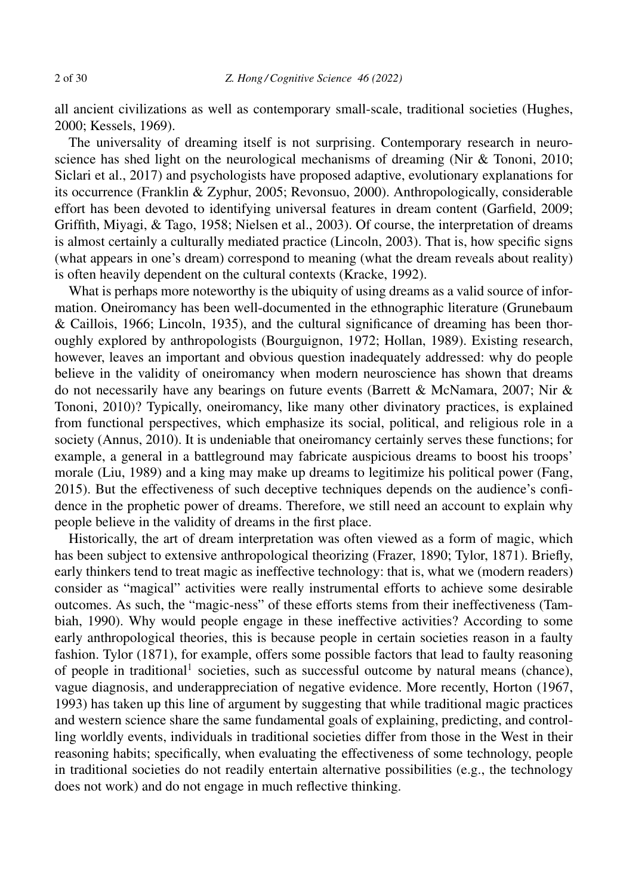all ancient civilizations as well as contemporary small-scale, traditional societies (Hughes, 2000; Kessels, 1969).

The universality of dreaming itself is not surprising. Contemporary research in neuroscience has shed light on the neurological mechanisms of dreaming (Nir & Tononi, 2010; Siclari et al., 2017) and psychologists have proposed adaptive, evolutionary explanations for its occurrence (Franklin & Zyphur, 2005; Revonsuo, 2000). Anthropologically, considerable effort has been devoted to identifying universal features in dream content (Garfield, 2009; Griffith, Miyagi, & Tago, 1958; Nielsen et al., 2003). Of course, the interpretation of dreams is almost certainly a culturally mediated practice (Lincoln, 2003). That is, how specific signs (what appears in one's dream) correspond to meaning (what the dream reveals about reality) is often heavily dependent on the cultural contexts (Kracke, 1992).

What is perhaps more noteworthy is the ubiquity of using dreams as a valid source of information. Oneiromancy has been well-documented in the ethnographic literature (Grunebaum & Caillois, 1966; Lincoln, 1935), and the cultural significance of dreaming has been thoroughly explored by anthropologists (Bourguignon, 1972; Hollan, 1989). Existing research, however, leaves an important and obvious question inadequately addressed: why do people believe in the validity of oneiromancy when modern neuroscience has shown that dreams do not necessarily have any bearings on future events (Barrett & McNamara, 2007; Nir & Tononi, 2010)? Typically, oneiromancy, like many other divinatory practices, is explained from functional perspectives, which emphasize its social, political, and religious role in a society (Annus, 2010). It is undeniable that oneiromancy certainly serves these functions; for example, a general in a battleground may fabricate auspicious dreams to boost his troops' morale (Liu, 1989) and a king may make up dreams to legitimize his political power (Fang, 2015). But the effectiveness of such deceptive techniques depends on the audience's confidence in the prophetic power of dreams. Therefore, we still need an account to explain why people believe in the validity of dreams in the first place.

Historically, the art of dream interpretation was often viewed as a form of magic, which has been subject to extensive anthropological theorizing (Frazer, 1890; Tylor, 1871). Briefly, early thinkers tend to treat magic as ineffective technology: that is, what we (modern readers) consider as "magical" activities were really instrumental efforts to achieve some desirable outcomes. As such, the "magic-ness" of these efforts stems from their ineffectiveness (Tambiah, 1990). Why would people engage in these ineffective activities? According to some early anthropological theories, this is because people in certain societies reason in a faulty fashion. Tylor (1871), for example, offers some possible factors that lead to faulty reasoning of people in traditional<sup>1</sup> societies, such as successful outcome by natural means (chance), vague diagnosis, and underappreciation of negative evidence. More recently, Horton (1967, 1993) has taken up this line of argument by suggesting that while traditional magic practices and western science share the same fundamental goals of explaining, predicting, and controlling worldly events, individuals in traditional societies differ from those in the West in their reasoning habits; specifically, when evaluating the effectiveness of some technology, people in traditional societies do not readily entertain alternative possibilities (e.g., the technology does not work) and do not engage in much reflective thinking.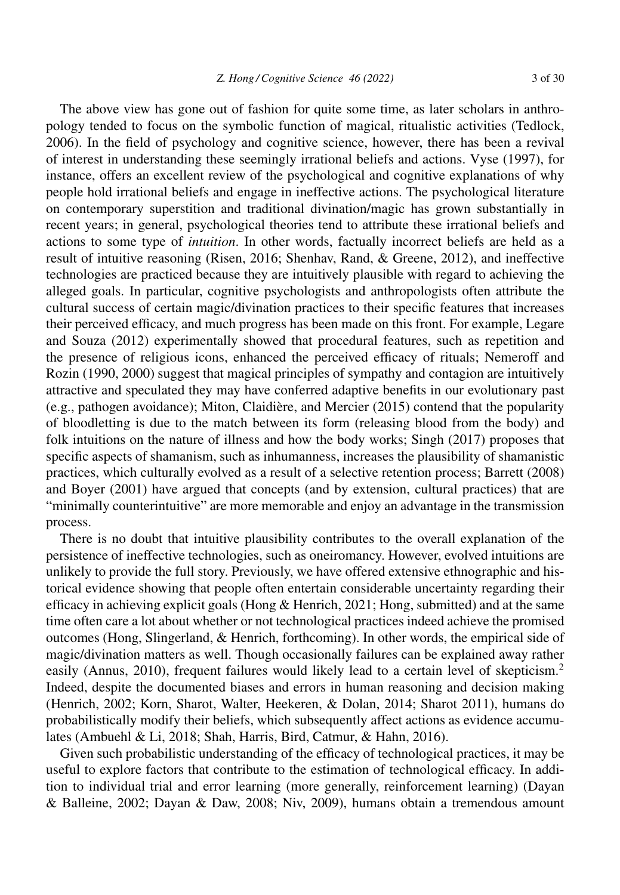The above view has gone out of fashion for quite some time, as later scholars in anthropology tended to focus on the symbolic function of magical, ritualistic activities (Tedlock, 2006). In the field of psychology and cognitive science, however, there has been a revival of interest in understanding these seemingly irrational beliefs and actions. Vyse (1997), for instance, offers an excellent review of the psychological and cognitive explanations of why people hold irrational beliefs and engage in ineffective actions. The psychological literature on contemporary superstition and traditional divination/magic has grown substantially in recent years; in general, psychological theories tend to attribute these irrational beliefs and actions to some type of *intuition*. In other words, factually incorrect beliefs are held as a result of intuitive reasoning (Risen, 2016; Shenhav, Rand, & Greene, 2012), and ineffective technologies are practiced because they are intuitively plausible with regard to achieving the alleged goals. In particular, cognitive psychologists and anthropologists often attribute the cultural success of certain magic/divination practices to their specific features that increases their perceived efficacy, and much progress has been made on this front. For example, Legare and Souza (2012) experimentally showed that procedural features, such as repetition and the presence of religious icons, enhanced the perceived efficacy of rituals; Nemeroff and Rozin (1990, 2000) suggest that magical principles of sympathy and contagion are intuitively attractive and speculated they may have conferred adaptive benefits in our evolutionary past (e.g., pathogen avoidance); Miton, Claidière, and Mercier (2015) contend that the popularity of bloodletting is due to the match between its form (releasing blood from the body) and folk intuitions on the nature of illness and how the body works; Singh (2017) proposes that specific aspects of shamanism, such as inhumanness, increases the plausibility of shamanistic practices, which culturally evolved as a result of a selective retention process; Barrett (2008) and Boyer (2001) have argued that concepts (and by extension, cultural practices) that are "minimally counterintuitive" are more memorable and enjoy an advantage in the transmission process.

There is no doubt that intuitive plausibility contributes to the overall explanation of the persistence of ineffective technologies, such as oneiromancy. However, evolved intuitions are unlikely to provide the full story. Previously, we have offered extensive ethnographic and historical evidence showing that people often entertain considerable uncertainty regarding their efficacy in achieving explicit goals (Hong & Henrich, 2021; Hong, submitted) and at the same time often care a lot about whether or not technological practices indeed achieve the promised outcomes (Hong, Slingerland, & Henrich, forthcoming). In other words, the empirical side of magic/divination matters as well. Though occasionally failures can be explained away rather easily (Annus, 2010), frequent failures would likely lead to a certain level of skepticism.<sup>2</sup> Indeed, despite the documented biases and errors in human reasoning and decision making (Henrich, 2002; Korn, Sharot, Walter, Heekeren, & Dolan, 2014; Sharot 2011), humans do probabilistically modify their beliefs, which subsequently affect actions as evidence accumulates (Ambuehl & Li, 2018; Shah, Harris, Bird, Catmur, & Hahn, 2016).

Given such probabilistic understanding of the efficacy of technological practices, it may be useful to explore factors that contribute to the estimation of technological efficacy. In addition to individual trial and error learning (more generally, reinforcement learning) (Dayan & Balleine, 2002; Dayan & Daw, 2008; Niv, 2009), humans obtain a tremendous amount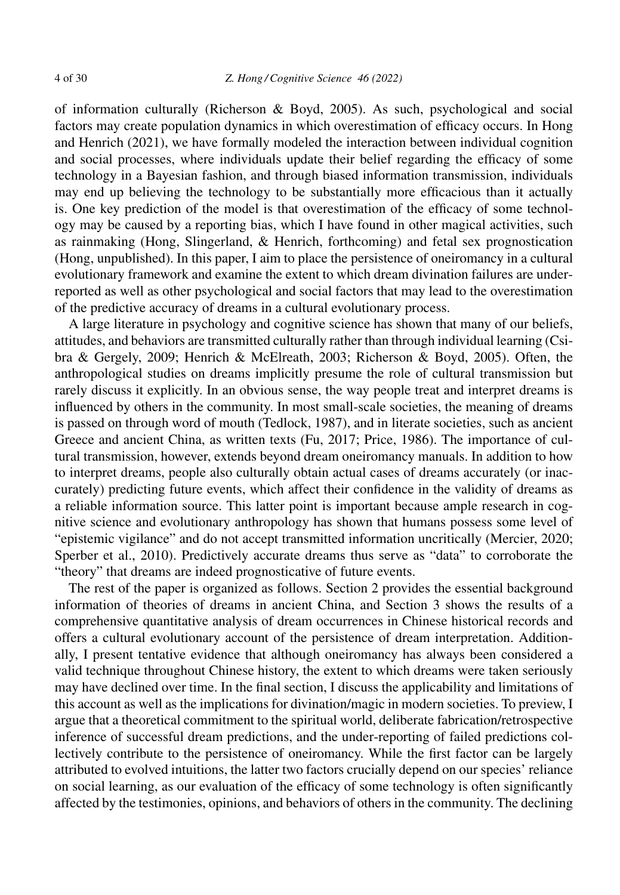of information culturally (Richerson & Boyd, 2005). As such, psychological and social factors may create population dynamics in which overestimation of efficacy occurs. In Hong and Henrich (2021), we have formally modeled the interaction between individual cognition and social processes, where individuals update their belief regarding the efficacy of some technology in a Bayesian fashion, and through biased information transmission, individuals may end up believing the technology to be substantially more efficacious than it actually is. One key prediction of the model is that overestimation of the efficacy of some technology may be caused by a reporting bias, which I have found in other magical activities, such as rainmaking (Hong, Slingerland, & Henrich, forthcoming) and fetal sex prognostication (Hong, unpublished). In this paper, I aim to place the persistence of oneiromancy in a cultural evolutionary framework and examine the extent to which dream divination failures are underreported as well as other psychological and social factors that may lead to the overestimation of the predictive accuracy of dreams in a cultural evolutionary process.

A large literature in psychology and cognitive science has shown that many of our beliefs, attitudes, and behaviors are transmitted culturally rather than through individual learning (Csibra & Gergely, 2009; Henrich & McElreath, 2003; Richerson & Boyd, 2005). Often, the anthropological studies on dreams implicitly presume the role of cultural transmission but rarely discuss it explicitly. In an obvious sense, the way people treat and interpret dreams is influenced by others in the community. In most small-scale societies, the meaning of dreams is passed on through word of mouth (Tedlock, 1987), and in literate societies, such as ancient Greece and ancient China, as written texts (Fu, 2017; Price, 1986). The importance of cultural transmission, however, extends beyond dream oneiromancy manuals. In addition to how to interpret dreams, people also culturally obtain actual cases of dreams accurately (or inaccurately) predicting future events, which affect their confidence in the validity of dreams as a reliable information source. This latter point is important because ample research in cognitive science and evolutionary anthropology has shown that humans possess some level of "epistemic vigilance" and do not accept transmitted information uncritically (Mercier, 2020; Sperber et al., 2010). Predictively accurate dreams thus serve as "data" to corroborate the "theory" that dreams are indeed prognosticative of future events.

The rest of the paper is organized as follows. Section 2 provides the essential background information of theories of dreams in ancient China, and Section 3 shows the results of a comprehensive quantitative analysis of dream occurrences in Chinese historical records and offers a cultural evolutionary account of the persistence of dream interpretation. Additionally, I present tentative evidence that although oneiromancy has always been considered a valid technique throughout Chinese history, the extent to which dreams were taken seriously may have declined over time. In the final section, I discuss the applicability and limitations of this account as well as the implications for divination/magic in modern societies. To preview, I argue that a theoretical commitment to the spiritual world, deliberate fabrication/retrospective inference of successful dream predictions, and the under-reporting of failed predictions collectively contribute to the persistence of oneiromancy. While the first factor can be largely attributed to evolved intuitions, the latter two factors crucially depend on our species' reliance on social learning, as our evaluation of the efficacy of some technology is often significantly affected by the testimonies, opinions, and behaviors of others in the community. The declining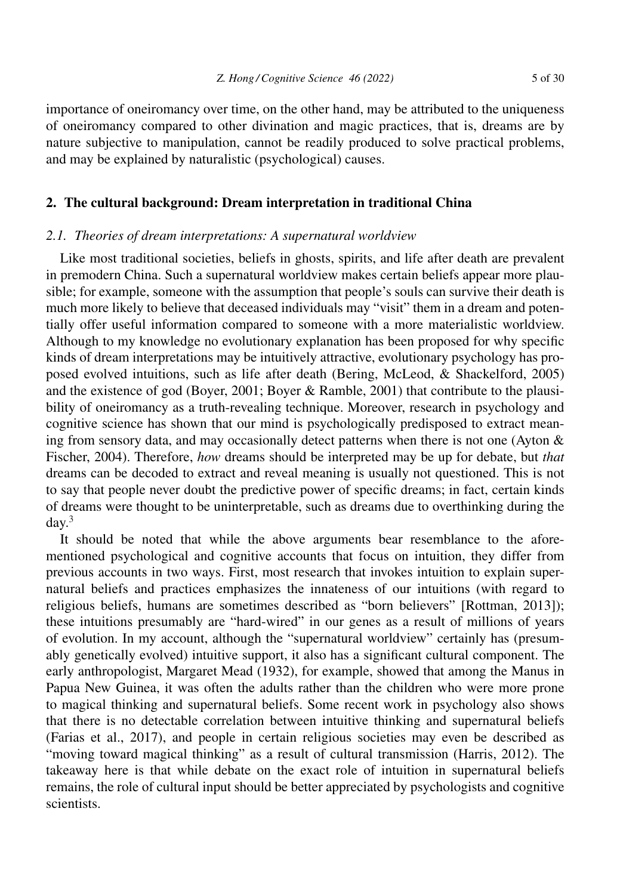importance of oneiromancy over time, on the other hand, may be attributed to the uniqueness of oneiromancy compared to other divination and magic practices, that is, dreams are by nature subjective to manipulation, cannot be readily produced to solve practical problems, and may be explained by naturalistic (psychological) causes.

# **2. The cultural background: Dream interpretation in traditional China**

#### *2.1. Theories of dream interpretations: A supernatural worldview*

Like most traditional societies, beliefs in ghosts, spirits, and life after death are prevalent in premodern China. Such a supernatural worldview makes certain beliefs appear more plausible; for example, someone with the assumption that people's souls can survive their death is much more likely to believe that deceased individuals may "visit" them in a dream and potentially offer useful information compared to someone with a more materialistic worldview. Although to my knowledge no evolutionary explanation has been proposed for why specific kinds of dream interpretations may be intuitively attractive, evolutionary psychology has proposed evolved intuitions, such as life after death (Bering, McLeod, & Shackelford, 2005) and the existence of god (Boyer, 2001; Boyer & Ramble, 2001) that contribute to the plausibility of oneiromancy as a truth-revealing technique. Moreover, research in psychology and cognitive science has shown that our mind is psychologically predisposed to extract meaning from sensory data, and may occasionally detect patterns when there is not one (Ayton & Fischer, 2004). Therefore, *how* dreams should be interpreted may be up for debate, but *that* dreams can be decoded to extract and reveal meaning is usually not questioned. This is not to say that people never doubt the predictive power of specific dreams; in fact, certain kinds of dreams were thought to be uninterpretable, such as dreams due to overthinking during the  $day.<sup>3</sup>$ 

It should be noted that while the above arguments bear resemblance to the aforementioned psychological and cognitive accounts that focus on intuition, they differ from previous accounts in two ways. First, most research that invokes intuition to explain supernatural beliefs and practices emphasizes the innateness of our intuitions (with regard to religious beliefs, humans are sometimes described as "born believers" [Rottman, 2013]); these intuitions presumably are "hard-wired" in our genes as a result of millions of years of evolution. In my account, although the "supernatural worldview" certainly has (presumably genetically evolved) intuitive support, it also has a significant cultural component. The early anthropologist, Margaret Mead (1932), for example, showed that among the Manus in Papua New Guinea, it was often the adults rather than the children who were more prone to magical thinking and supernatural beliefs. Some recent work in psychology also shows that there is no detectable correlation between intuitive thinking and supernatural beliefs (Farias et al., 2017), and people in certain religious societies may even be described as "moving toward magical thinking" as a result of cultural transmission (Harris, 2012). The takeaway here is that while debate on the exact role of intuition in supernatural beliefs remains, the role of cultural input should be better appreciated by psychologists and cognitive scientists.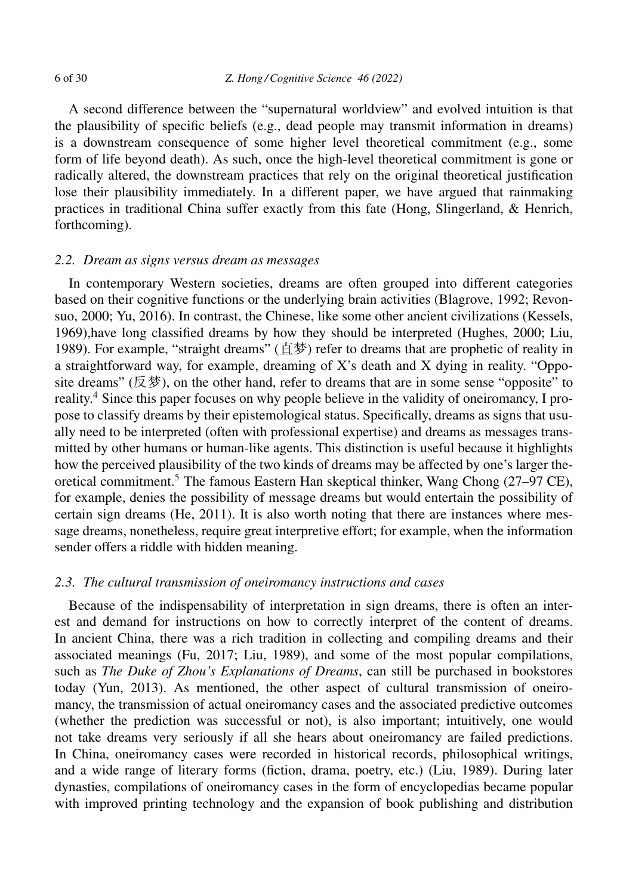A second difference between the "supernatural worldview" and evolved intuition is that the plausibility of specific beliefs (e.g., dead people may transmit information in dreams) is a downstream consequence of some higher level theoretical commitment (e.g., some form of life beyond death). As such, once the high-level theoretical commitment is gone or radically altered, the downstream practices that rely on the original theoretical justification lose their plausibility immediately. In a different paper, we have argued that rainmaking practices in traditional China suffer exactly from this fate (Hong, Slingerland, & Henrich, forthcoming).

#### *2.2. Dream as signs versus dream as messages*

In contemporary Western societies, dreams are often grouped into different categories based on their cognitive functions or the underlying brain activities (Blagrove, 1992; Revonsuo, 2000; Yu, 2016). In contrast, the Chinese, like some other ancient civilizations (Kessels, 1969),have long classified dreams by how they should be interpreted (Hughes, 2000; Liu, 1989). For example, "straight dreams" (直梦) refer to dreams that are prophetic of reality in a straightforward way, for example, dreaming of X's death and X dying in reality. "Opposite dreams" (反梦), on the other hand, refer to dreams that are in some sense "opposite" to reality.<sup>4</sup> Since this paper focuses on why people believe in the validity of oneiromancy, I propose to classify dreams by their epistemological status. Specifically, dreams as signs that usually need to be interpreted (often with professional expertise) and dreams as messages transmitted by other humans or human-like agents. This distinction is useful because it highlights how the perceived plausibility of the two kinds of dreams may be affected by one's larger theoretical commitment.<sup>5</sup> The famous Eastern Han skeptical thinker, Wang Chong  $(27-97 \text{ CE})$ , for example, denies the possibility of message dreams but would entertain the possibility of certain sign dreams (He, 2011). It is also worth noting that there are instances where message dreams, nonetheless, require great interpretive effort; for example, when the information sender offers a riddle with hidden meaning.

# *2.3. The cultural transmission of oneiromancy instructions and cases*

Because of the indispensability of interpretation in sign dreams, there is often an interest and demand for instructions on how to correctly interpret of the content of dreams. In ancient China, there was a rich tradition in collecting and compiling dreams and their associated meanings (Fu, 2017; Liu, 1989), and some of the most popular compilations, such as *The Duke of Zhou's Explanations of Dreams*, can still be purchased in bookstores today (Yun, 2013). As mentioned, the other aspect of cultural transmission of oneiromancy, the transmission of actual oneiromancy cases and the associated predictive outcomes (whether the prediction was successful or not), is also important; intuitively, one would not take dreams very seriously if all she hears about oneiromancy are failed predictions. In China, oneiromancy cases were recorded in historical records, philosophical writings, and a wide range of literary forms (fiction, drama, poetry, etc.) (Liu, 1989). During later dynasties, compilations of oneiromancy cases in the form of encyclopedias became popular with improved printing technology and the expansion of book publishing and distribution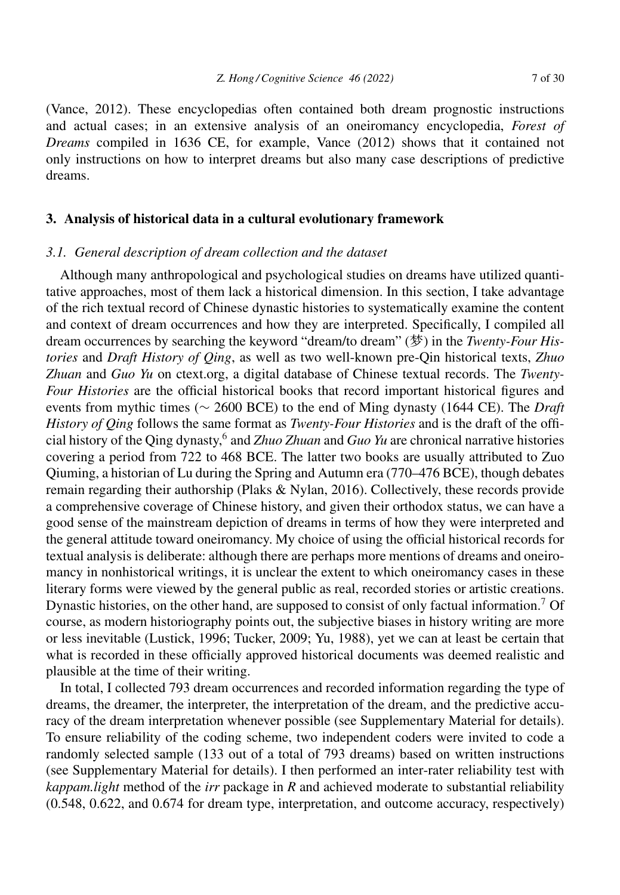(Vance, 2012). These encyclopedias often contained both dream prognostic instructions and actual cases; in an extensive analysis of an oneiromancy encyclopedia, *Forest of Dreams* compiled in 1636 CE, for example, Vance (2012) shows that it contained not only instructions on how to interpret dreams but also many case descriptions of predictive dreams.

# **3. Analysis of historical data in a cultural evolutionary framework**

#### *3.1. General description of dream collection and the dataset*

Although many anthropological and psychological studies on dreams have utilized quantitative approaches, most of them lack a historical dimension. In this section, I take advantage of the rich textual record of Chinese dynastic histories to systematically examine the content and context of dream occurrences and how they are interpreted. Specifically, I compiled all dream occurrences by searching the keyword "dream/to dream" (梦) in the *Twenty-Four Histories* and *Draft History of Qing*, as well as two well-known pre-Qin historical texts, *Zhuo Zhuan* and *Guo Yu* on ctext.org, a digital database of Chinese textual records. The *Twenty-Four Histories* are the official historical books that record important historical figures and events from mythic times (∼ 2600 BCE) to the end of Ming dynasty (1644 CE). The *Draft History of Qing* follows the same format as *Twenty-Four Histories* and is the draft of the official history of the Qing dynasty,<sup>6</sup> and *Zhuo Zhuan* and *Guo Yu* are chronical narrative histories covering a period from 722 to 468 BCE. The latter two books are usually attributed to Zuo Qiuming, a historian of Lu during the Spring and Autumn era (770–476 BCE), though debates remain regarding their authorship (Plaks & Nylan, 2016). Collectively, these records provide a comprehensive coverage of Chinese history, and given their orthodox status, we can have a good sense of the mainstream depiction of dreams in terms of how they were interpreted and the general attitude toward oneiromancy. My choice of using the official historical records for textual analysis is deliberate: although there are perhaps more mentions of dreams and oneiromancy in nonhistorical writings, it is unclear the extent to which oneiromancy cases in these literary forms were viewed by the general public as real, recorded stories or artistic creations. Dynastic histories, on the other hand, are supposed to consist of only factual information.<sup>7</sup> Of course, as modern historiography points out, the subjective biases in history writing are more or less inevitable (Lustick, 1996; Tucker, 2009; Yu, 1988), yet we can at least be certain that what is recorded in these officially approved historical documents was deemed realistic and plausible at the time of their writing.

In total, I collected 793 dream occurrences and recorded information regarding the type of dreams, the dreamer, the interpreter, the interpretation of the dream, and the predictive accuracy of the dream interpretation whenever possible (see Supplementary Material for details). To ensure reliability of the coding scheme, two independent coders were invited to code a randomly selected sample (133 out of a total of 793 dreams) based on written instructions (see Supplementary Material for details). I then performed an inter-rater reliability test with *kappam.light* method of the *irr* package in *R* and achieved moderate to substantial reliability (0.548, 0.622, and 0.674 for dream type, interpretation, and outcome accuracy, respectively)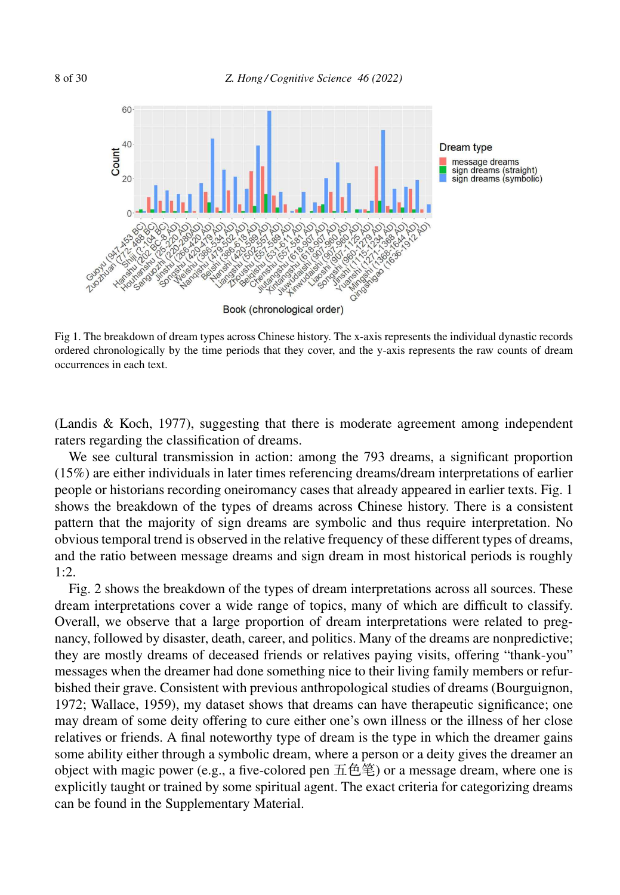

Fig 1. The breakdown of dream types across Chinese history. The x-axis represents the individual dynastic records ordered chronologically by the time periods that they cover, and the y-axis represents the raw counts of dream occurrences in each text.

(Landis & Koch, 1977), suggesting that there is moderate agreement among independent raters regarding the classification of dreams.

We see cultural transmission in action: among the 793 dreams, a significant proportion (15%) are either individuals in later times referencing dreams/dream interpretations of earlier people or historians recording oneiromancy cases that already appeared in earlier texts. Fig. 1 shows the breakdown of the types of dreams across Chinese history. There is a consistent pattern that the majority of sign dreams are symbolic and thus require interpretation. No obvious temporal trend is observed in the relative frequency of these different types of dreams, and the ratio between message dreams and sign dream in most historical periods is roughly  $1 \cdot 2$ .

Fig. 2 shows the breakdown of the types of dream interpretations across all sources. These dream interpretations cover a wide range of topics, many of which are difficult to classify. Overall, we observe that a large proportion of dream interpretations were related to pregnancy, followed by disaster, death, career, and politics. Many of the dreams are nonpredictive; they are mostly dreams of deceased friends or relatives paying visits, offering "thank-you" messages when the dreamer had done something nice to their living family members or refurbished their grave. Consistent with previous anthropological studies of dreams (Bourguignon, 1972; Wallace, 1959), my dataset shows that dreams can have therapeutic significance; one may dream of some deity offering to cure either one's own illness or the illness of her close relatives or friends. A final noteworthy type of dream is the type in which the dreamer gains some ability either through a symbolic dream, where a person or a deity gives the dreamer an object with magic power (e.g., a five-colored pen 五色笔) or a message dream, where one is explicitly taught or trained by some spiritual agent. The exact criteria for categorizing dreams can be found in the Supplementary Material.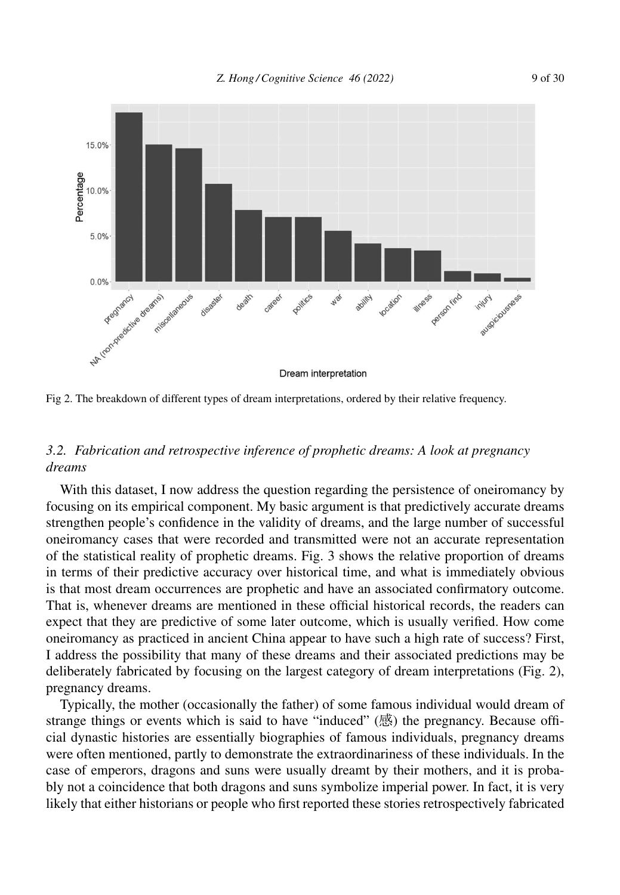

Fig 2. The breakdown of different types of dream interpretations, ordered by their relative frequency.

# *3.2. Fabrication and retrospective inference of prophetic dreams: A look at pregnancy dreams*

With this dataset, I now address the question regarding the persistence of oneiromancy by focusing on its empirical component. My basic argument is that predictively accurate dreams strengthen people's confidence in the validity of dreams, and the large number of successful oneiromancy cases that were recorded and transmitted were not an accurate representation of the statistical reality of prophetic dreams. Fig. 3 shows the relative proportion of dreams in terms of their predictive accuracy over historical time, and what is immediately obvious is that most dream occurrences are prophetic and have an associated confirmatory outcome. That is, whenever dreams are mentioned in these official historical records, the readers can expect that they are predictive of some later outcome, which is usually verified. How come oneiromancy as practiced in ancient China appear to have such a high rate of success? First, I address the possibility that many of these dreams and their associated predictions may be deliberately fabricated by focusing on the largest category of dream interpretations (Fig. 2), pregnancy dreams.

Typically, the mother (occasionally the father) of some famous individual would dream of strange things or events which is said to have "induced" (感) the pregnancy. Because official dynastic histories are essentially biographies of famous individuals, pregnancy dreams were often mentioned, partly to demonstrate the extraordinariness of these individuals. In the case of emperors, dragons and suns were usually dreamt by their mothers, and it is probably not a coincidence that both dragons and suns symbolize imperial power. In fact, it is very likely that either historians or people who first reported these stories retrospectively fabricated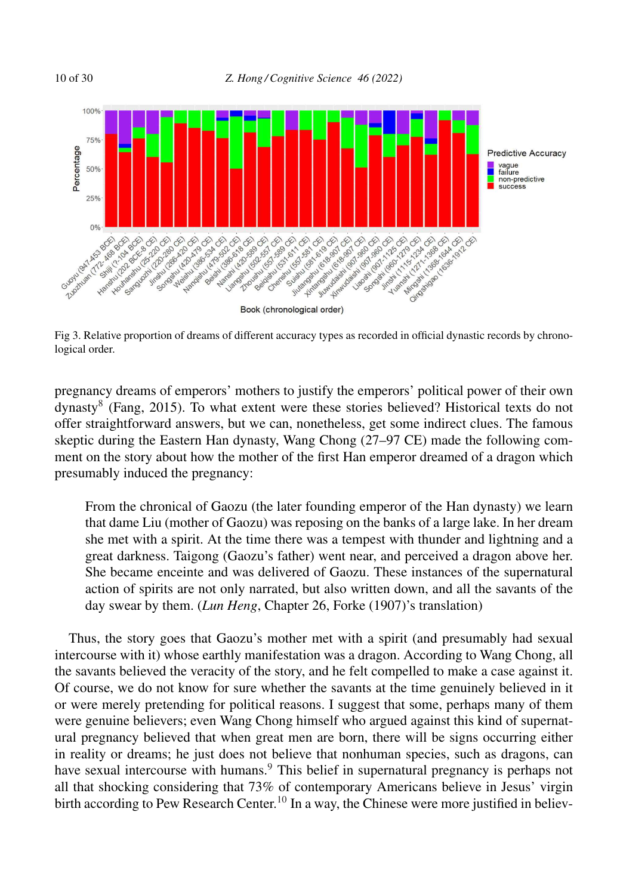

Fig 3. Relative proportion of dreams of different accuracy types as recorded in official dynastic records by chronological order.

pregnancy dreams of emperors' mothers to justify the emperors' political power of their own dynasty<sup>8</sup> (Fang, 2015). To what extent were these stories believed? Historical texts do not offer straightforward answers, but we can, nonetheless, get some indirect clues. The famous skeptic during the Eastern Han dynasty, Wang Chong (27–97 CE) made the following comment on the story about how the mother of the first Han emperor dreamed of a dragon which presumably induced the pregnancy:

From the chronical of Gaozu (the later founding emperor of the Han dynasty) we learn that dame Liu (mother of Gaozu) was reposing on the banks of a large lake. In her dream she met with a spirit. At the time there was a tempest with thunder and lightning and a great darkness. Taigong (Gaozu's father) went near, and perceived a dragon above her. She became enceinte and was delivered of Gaozu. These instances of the supernatural action of spirits are not only narrated, but also written down, and all the savants of the day swear by them. (*Lun Heng*, Chapter 26, Forke (1907)'s translation)

Thus, the story goes that Gaozu's mother met with a spirit (and presumably had sexual intercourse with it) whose earthly manifestation was a dragon. According to Wang Chong, all the savants believed the veracity of the story, and he felt compelled to make a case against it. Of course, we do not know for sure whether the savants at the time genuinely believed in it or were merely pretending for political reasons. I suggest that some, perhaps many of them were genuine believers; even Wang Chong himself who argued against this kind of supernatural pregnancy believed that when great men are born, there will be signs occurring either in reality or dreams; he just does not believe that nonhuman species, such as dragons, can have sexual intercourse with humans.<sup>9</sup> This belief in supernatural pregnancy is perhaps not all that shocking considering that 73% of contemporary Americans believe in Jesus' virgin birth according to Pew Research Center.<sup>10</sup> In a way, the Chinese were more justified in believ-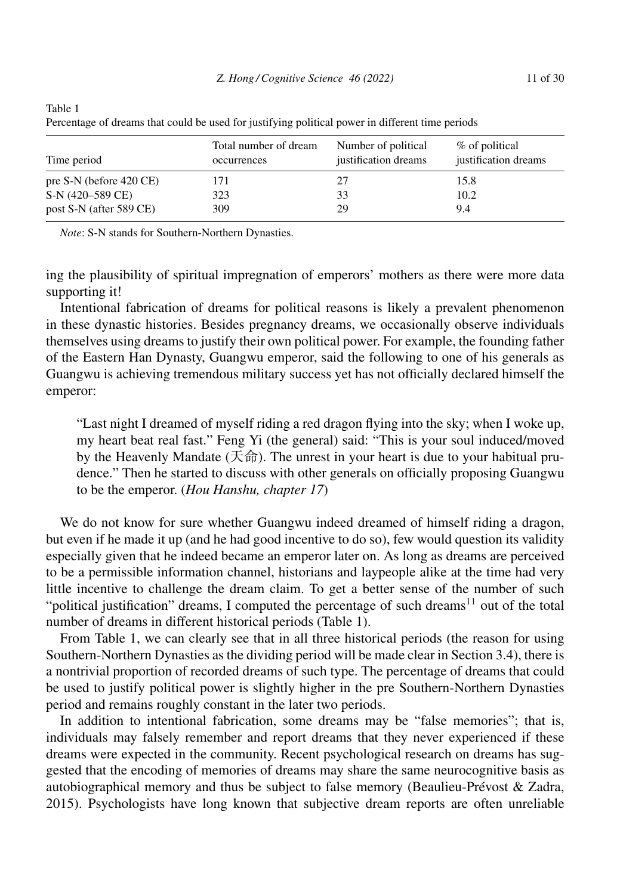| Time period             | Total number of dream<br>occurrences | Number of political<br>justification dreams | % of political<br>justification dreams |
|-------------------------|--------------------------------------|---------------------------------------------|----------------------------------------|
| pre S-N (before 420 CE) | 171                                  |                                             | 15.8                                   |
| S-N (420–589 CE)        | 323                                  | 33                                          | 10.2                                   |
| post S-N (after 589 CE) | 309                                  | 29                                          | 9.4                                    |

Table 1 Percentage of dreams that could be used for justifying political power in different time periods

*Note*: S-N stands for Southern-Northern Dynasties.

ing the plausibility of spiritual impregnation of emperors' mothers as there were more data supporting it!

Intentional fabrication of dreams for political reasons is likely a prevalent phenomenon in these dynastic histories. Besides pregnancy dreams, we occasionally observe individuals themselves using dreams to justify their own political power. For example, the founding father of the Eastern Han Dynasty, Guangwu emperor, said the following to one of his generals as Guangwu is achieving tremendous military success yet has not officially declared himself the emperor:

"Last night I dreamed of myself riding a red dragon flying into the sky; when I woke up, my heart beat real fast." Feng Yi (the general) said: "This is your soul induced/moved by the Heavenly Mandate (天命). The unrest in your heart is due to your habitual prudence." Then he started to discuss with other generals on officially proposing Guangwu to be the emperor. (*Hou Hanshu, chapter 17*)

We do not know for sure whether Guangwu indeed dreamed of himself riding a dragon, but even if he made it up (and he had good incentive to do so), few would question its validity especially given that he indeed became an emperor later on. As long as dreams are perceived to be a permissible information channel, historians and laypeople alike at the time had very little incentive to challenge the dream claim. To get a better sense of the number of such "political justification" dreams, I computed the percentage of such dreams $11$  out of the total number of dreams in different historical periods (Table 1).

From Table 1, we can clearly see that in all three historical periods (the reason for using Southern-Northern Dynasties as the dividing period will be made clear in Section 3.4), there is a nontrivial proportion of recorded dreams of such type. The percentage of dreams that could be used to justify political power is slightly higher in the pre Southern-Northern Dynasties period and remains roughly constant in the later two periods.

In addition to intentional fabrication, some dreams may be "false memories"; that is, individuals may falsely remember and report dreams that they never experienced if these dreams were expected in the community. Recent psychological research on dreams has suggested that the encoding of memories of dreams may share the same neurocognitive basis as autobiographical memory and thus be subject to false memory (Beaulieu-Prévost & Zadra, 2015). Psychologists have long known that subjective dream reports are often unreliable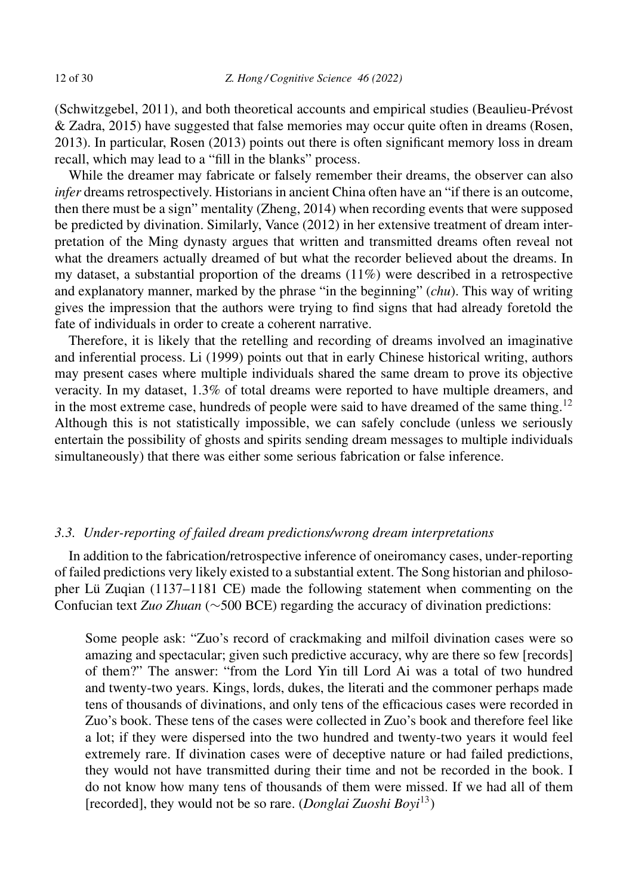(Schwitzgebel, 2011), and both theoretical accounts and empirical studies (Beaulieu-Prévost & Zadra, 2015) have suggested that false memories may occur quite often in dreams (Rosen, 2013). In particular, Rosen (2013) points out there is often significant memory loss in dream recall, which may lead to a "fill in the blanks" process.

While the dreamer may fabricate or falsely remember their dreams, the observer can also *infer* dreams retrospectively. Historians in ancient China often have an "if there is an outcome, then there must be a sign" mentality (Zheng, 2014) when recording events that were supposed be predicted by divination. Similarly, Vance (2012) in her extensive treatment of dream interpretation of the Ming dynasty argues that written and transmitted dreams often reveal not what the dreamers actually dreamed of but what the recorder believed about the dreams. In my dataset, a substantial proportion of the dreams (11%) were described in a retrospective and explanatory manner, marked by the phrase "in the beginning" (*chu*). This way of writing gives the impression that the authors were trying to find signs that had already foretold the fate of individuals in order to create a coherent narrative.

Therefore, it is likely that the retelling and recording of dreams involved an imaginative and inferential process. Li (1999) points out that in early Chinese historical writing, authors may present cases where multiple individuals shared the same dream to prove its objective veracity. In my dataset, 1.3% of total dreams were reported to have multiple dreamers, and in the most extreme case, hundreds of people were said to have dreamed of the same thing.<sup>12</sup> Although this is not statistically impossible, we can safely conclude (unless we seriously entertain the possibility of ghosts and spirits sending dream messages to multiple individuals simultaneously) that there was either some serious fabrication or false inference.

# *3.3. Under-reporting of failed dream predictions/wrong dream interpretations*

In addition to the fabrication/retrospective inference of oneiromancy cases, under-reporting of failed predictions very likely existed to a substantial extent. The Song historian and philosopher Lü Zuqian (1137–1181 CE) made the following statement when commenting on the Confucian text *Zuo Zhuan* (∼500 BCE) regarding the accuracy of divination predictions:

Some people ask: "Zuo's record of crackmaking and milfoil divination cases were so amazing and spectacular; given such predictive accuracy, why are there so few [records] of them?" The answer: "from the Lord Yin till Lord Ai was a total of two hundred and twenty-two years. Kings, lords, dukes, the literati and the commoner perhaps made tens of thousands of divinations, and only tens of the efficacious cases were recorded in Zuo's book. These tens of the cases were collected in Zuo's book and therefore feel like a lot; if they were dispersed into the two hundred and twenty-two years it would feel extremely rare. If divination cases were of deceptive nature or had failed predictions, they would not have transmitted during their time and not be recorded in the book. I do not know how many tens of thousands of them were missed. If we had all of them [recorded], they would not be so rare. (*Donglai Zuoshi Boyi*<sup>13</sup>)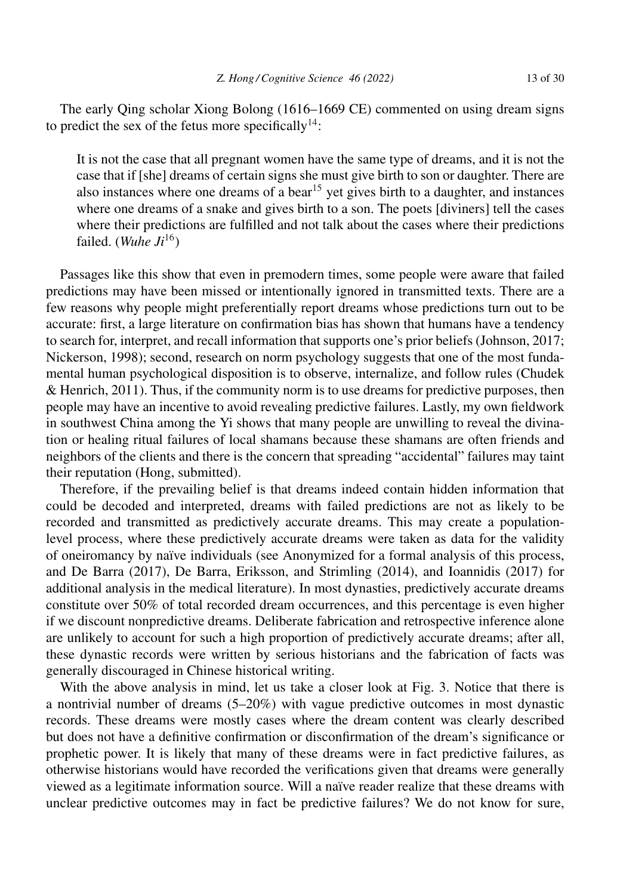The early Qing scholar Xiong Bolong (1616–1669 CE) commented on using dream signs to predict the sex of the fetus more specifically<sup>14</sup>:

It is not the case that all pregnant women have the same type of dreams, and it is not the case that if [she] dreams of certain signs she must give birth to son or daughter. There are also instances where one dreams of a bear<sup>15</sup> yet gives birth to a daughter, and instances where one dreams of a snake and gives birth to a son. The poets [diviners] tell the cases where their predictions are fulfilled and not talk about the cases where their predictions failed. (*Wuhe Ji*<sup>16</sup>)

Passages like this show that even in premodern times, some people were aware that failed predictions may have been missed or intentionally ignored in transmitted texts. There are a few reasons why people might preferentially report dreams whose predictions turn out to be accurate: first, a large literature on confirmation bias has shown that humans have a tendency to search for, interpret, and recall information that supports one's prior beliefs (Johnson, 2017; Nickerson, 1998); second, research on norm psychology suggests that one of the most fundamental human psychological disposition is to observe, internalize, and follow rules (Chudek & Henrich, 2011). Thus, if the community norm is to use dreams for predictive purposes, then people may have an incentive to avoid revealing predictive failures. Lastly, my own fieldwork in southwest China among the Yi shows that many people are unwilling to reveal the divination or healing ritual failures of local shamans because these shamans are often friends and neighbors of the clients and there is the concern that spreading "accidental" failures may taint their reputation (Hong, submitted).

Therefore, if the prevailing belief is that dreams indeed contain hidden information that could be decoded and interpreted, dreams with failed predictions are not as likely to be recorded and transmitted as predictively accurate dreams. This may create a populationlevel process, where these predictively accurate dreams were taken as data for the validity of oneiromancy by naïve individuals (see Anonymized for a formal analysis of this process, and De Barra (2017), De Barra, Eriksson, and Strimling (2014), and Ioannidis (2017) for additional analysis in the medical literature). In most dynasties, predictively accurate dreams constitute over 50% of total recorded dream occurrences, and this percentage is even higher if we discount nonpredictive dreams. Deliberate fabrication and retrospective inference alone are unlikely to account for such a high proportion of predictively accurate dreams; after all, these dynastic records were written by serious historians and the fabrication of facts was generally discouraged in Chinese historical writing.

With the above analysis in mind, let us take a closer look at Fig. 3. Notice that there is a nontrivial number of dreams (5–20%) with vague predictive outcomes in most dynastic records. These dreams were mostly cases where the dream content was clearly described but does not have a definitive confirmation or disconfirmation of the dream's significance or prophetic power. It is likely that many of these dreams were in fact predictive failures, as otherwise historians would have recorded the verifications given that dreams were generally viewed as a legitimate information source. Will a naïve reader realize that these dreams with unclear predictive outcomes may in fact be predictive failures? We do not know for sure,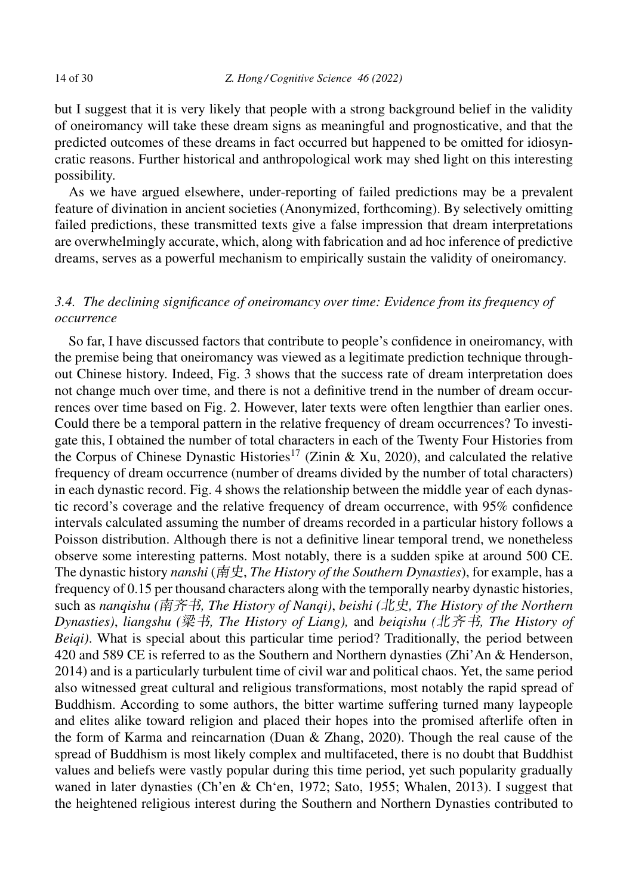but I suggest that it is very likely that people with a strong background belief in the validity of oneiromancy will take these dream signs as meaningful and prognosticative, and that the predicted outcomes of these dreams in fact occurred but happened to be omitted for idiosyncratic reasons. Further historical and anthropological work may shed light on this interesting possibility.

As we have argued elsewhere, under-reporting of failed predictions may be a prevalent feature of divination in ancient societies (Anonymized, forthcoming). By selectively omitting failed predictions, these transmitted texts give a false impression that dream interpretations are overwhelmingly accurate, which, along with fabrication and ad hoc inference of predictive dreams, serves as a powerful mechanism to empirically sustain the validity of oneiromancy.

# *3.4. The declining significance of oneiromancy over time: Evidence from its frequency of occurrence*

So far, I have discussed factors that contribute to people's confidence in oneiromancy, with the premise being that oneiromancy was viewed as a legitimate prediction technique throughout Chinese history. Indeed, Fig. 3 shows that the success rate of dream interpretation does not change much over time, and there is not a definitive trend in the number of dream occurrences over time based on Fig. 2. However, later texts were often lengthier than earlier ones. Could there be a temporal pattern in the relative frequency of dream occurrences? To investigate this, I obtained the number of total characters in each of the Twenty Four Histories from the Corpus of Chinese Dynastic Histories<sup>17</sup> (Zinin & Xu, 2020), and calculated the relative frequency of dream occurrence (number of dreams divided by the number of total characters) in each dynastic record. Fig. 4 shows the relationship between the middle year of each dynastic record's coverage and the relative frequency of dream occurrence, with 95% confidence intervals calculated assuming the number of dreams recorded in a particular history follows a Poisson distribution. Although there is not a definitive linear temporal trend, we nonetheless observe some interesting patterns. Most notably, there is a sudden spike at around 500 CE. The dynastic history *nanshi* (南史, *The History of the Southern Dynasties*), for example, has a frequency of 0.15 per thousand characters along with the temporally nearby dynastic histories, such as *nanqishu (*-*, The History of Nanqi)*, *beishi (, The History of the Northern Dynasties*), *liangshu (梁书, The History of Liang), and beiqishu (北齐书, The History of Beiqi)*. What is special about this particular time period? Traditionally, the period between 420 and 589 CE is referred to as the Southern and Northern dynasties (Zhi'An & Henderson, 2014) and is a particularly turbulent time of civil war and political chaos. Yet, the same period also witnessed great cultural and religious transformations, most notably the rapid spread of Buddhism. According to some authors, the bitter wartime suffering turned many laypeople and elites alike toward religion and placed their hopes into the promised afterlife often in the form of Karma and reincarnation (Duan & Zhang, 2020). Though the real cause of the spread of Buddhism is most likely complex and multifaceted, there is no doubt that Buddhist values and beliefs were vastly popular during this time period, yet such popularity gradually waned in later dynasties (Ch'en & Chʻen, 1972; Sato, 1955; Whalen, 2013). I suggest that the heightened religious interest during the Southern and Northern Dynasties contributed to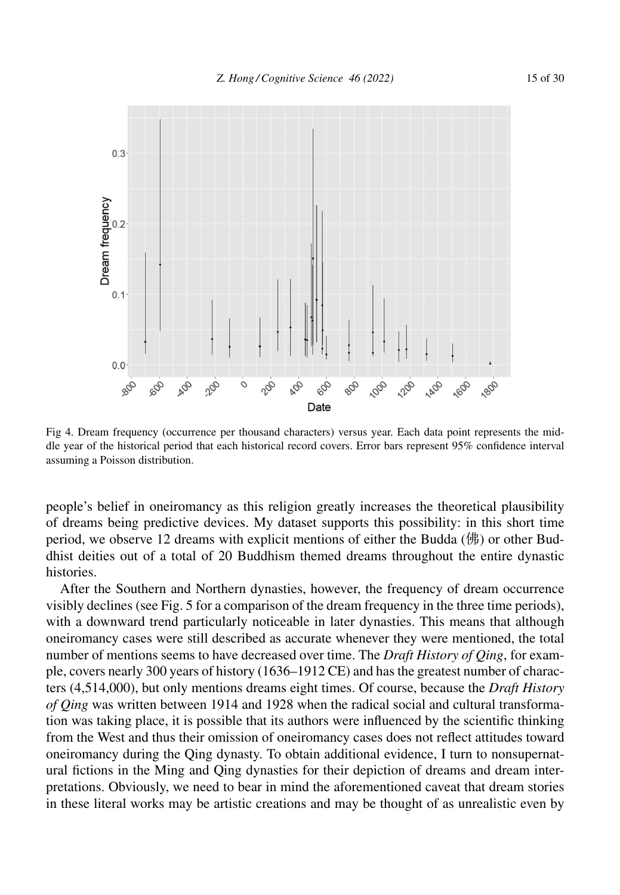

Fig 4. Dream frequency (occurrence per thousand characters) versus year. Each data point represents the middle year of the historical period that each historical record covers. Error bars represent 95% confidence interval assuming a Poisson distribution.

people's belief in oneiromancy as this religion greatly increases the theoretical plausibility of dreams being predictive devices. My dataset supports this possibility: in this short time period, we observe 12 dreams with explicit mentions of either the Budda (佛) or other Buddhist deities out of a total of 20 Buddhism themed dreams throughout the entire dynastic histories.

After the Southern and Northern dynasties, however, the frequency of dream occurrence visibly declines (see Fig. 5 for a comparison of the dream frequency in the three time periods), with a downward trend particularly noticeable in later dynasties. This means that although oneiromancy cases were still described as accurate whenever they were mentioned, the total number of mentions seems to have decreased over time. The *Draft History of Qing*, for example, covers nearly 300 years of history (1636–1912 CE) and has the greatest number of characters (4,514,000), but only mentions dreams eight times. Of course, because the *Draft History of Qing* was written between 1914 and 1928 when the radical social and cultural transformation was taking place, it is possible that its authors were influenced by the scientific thinking from the West and thus their omission of oneiromancy cases does not reflect attitudes toward oneiromancy during the Qing dynasty. To obtain additional evidence, I turn to nonsupernatural fictions in the Ming and Qing dynasties for their depiction of dreams and dream interpretations. Obviously, we need to bear in mind the aforementioned caveat that dream stories in these literal works may be artistic creations and may be thought of as unrealistic even by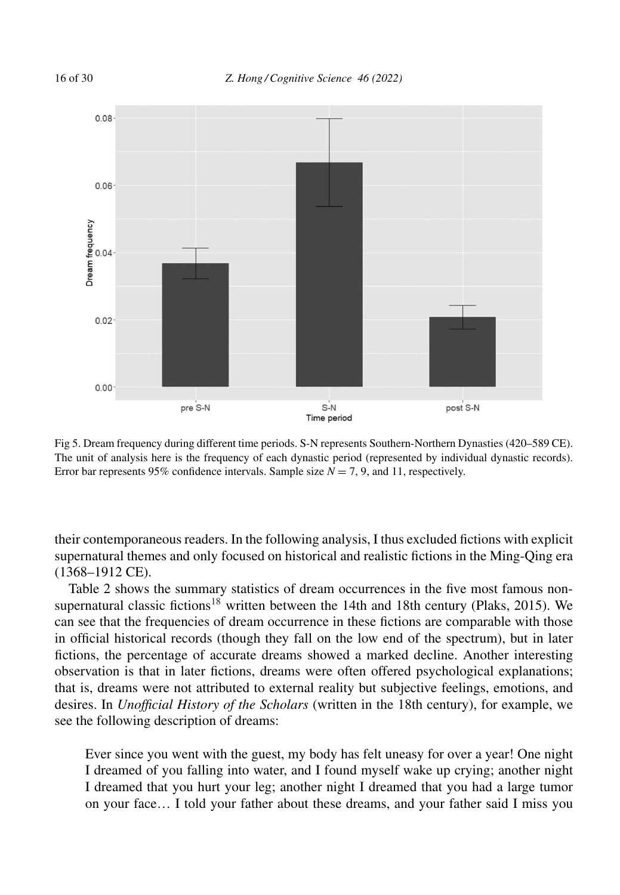

Fig 5. Dream frequency during different time periods. S-N represents Southern-Northern Dynasties (420–589 CE). The unit of analysis here is the frequency of each dynastic period (represented by individual dynastic records). Error bar represents 95% confidence intervals. Sample size  $N = 7, 9$ , and 11, respectively.

their contemporaneous readers. In the following analysis, I thus excluded fictions with explicit supernatural themes and only focused on historical and realistic fictions in the Ming-Qing era (1368–1912 CE).

Table 2 shows the summary statistics of dream occurrences in the five most famous nonsupernatural classic fictions<sup>18</sup> written between the 14th and 18th century (Plaks, 2015). We can see that the frequencies of dream occurrence in these fictions are comparable with those in official historical records (though they fall on the low end of the spectrum), but in later fictions, the percentage of accurate dreams showed a marked decline. Another interesting observation is that in later fictions, dreams were often offered psychological explanations; that is, dreams were not attributed to external reality but subjective feelings, emotions, and desires. In *Unofficial History of the Scholars* (written in the 18th century), for example, we see the following description of dreams:

Ever since you went with the guest, my body has felt uneasy for over a year! One night I dreamed of you falling into water, and I found myself wake up crying; another night I dreamed that you hurt your leg; another night I dreamed that you had a large tumor on your face… I told your father about these dreams, and your father said I miss you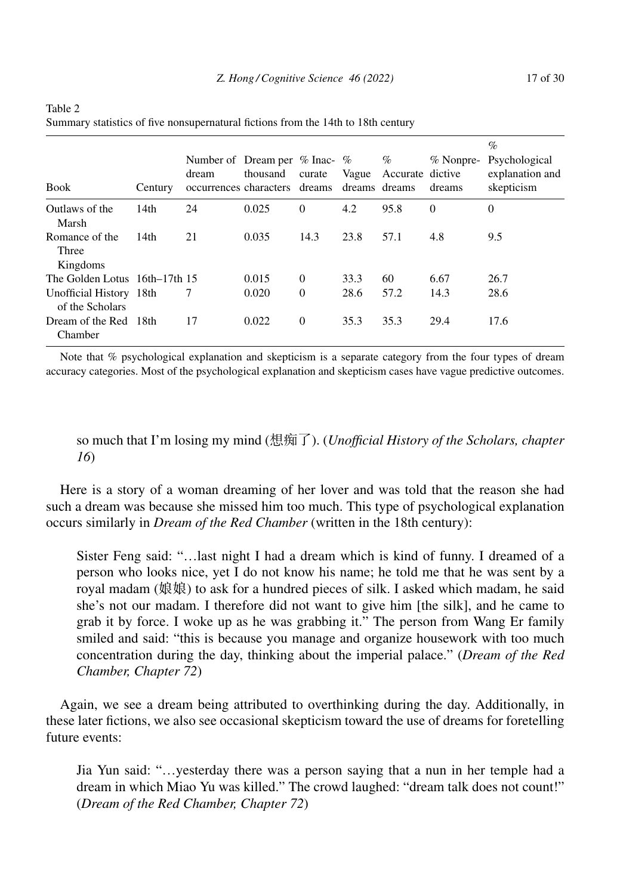| <b>Book</b>                                | Century | Number of Dream per $%$ Inac- $%$<br>dream<br>occurrences characters dreams dreams dreams | thousand | curate   | Vague | %<br>Accurate dictive | $%$ Nonpre-<br>dreams | $\%$<br>Psychological<br>explanation and<br>skepticism |
|--------------------------------------------|---------|-------------------------------------------------------------------------------------------|----------|----------|-------|-----------------------|-----------------------|--------------------------------------------------------|
| Outlaws of the<br>Marsh                    | 14th    | 24                                                                                        | 0.025    | $\theta$ | 4.2   | 95.8                  | $\theta$              | $\overline{0}$                                         |
| Romance of the<br>Three<br>Kingdoms        | 14th    | 21                                                                                        | 0.035    | 14.3     | 23.8  | 57.1                  | 4.8                   | 9.5                                                    |
| The Golden Lotus 16th–17th 15              |         |                                                                                           | 0.015    | $\theta$ | 33.3  | 60                    | 6.67                  | 26.7                                                   |
| Unofficial History 18th<br>of the Scholars |         | 7                                                                                         | 0.020    | $\Omega$ | 28.6  | 57.2                  | 14.3                  | 28.6                                                   |
| Dream of the Red<br>Chamber                | - 18th  | 17                                                                                        | 0.022    | $\Omega$ | 35.3  | 35.3                  | 29.4                  | 17.6                                                   |

| Table 2                                                                           |
|-----------------------------------------------------------------------------------|
| Summary statistics of five nonsupernatural fictions from the 14th to 18th century |

Note that % psychological explanation and skepticism is a separate category from the four types of dream accuracy categories. Most of the psychological explanation and skepticism cases have vague predictive outcomes.

so much that I'm losing my mind (--). (*Unofficial History of the Scholars, chapter 16*)

Here is a story of a woman dreaming of her lover and was told that the reason she had such a dream was because she missed him too much. This type of psychological explanation occurs similarly in *Dream of the Red Chamber* (written in the 18th century):

Sister Feng said: "…last night I had a dream which is kind of funny. I dreamed of a person who looks nice, yet I do not know his name; he told me that he was sent by a royal madam (娘娘) to ask for a hundred pieces of silk. I asked which madam, he said she's not our madam. I therefore did not want to give him [the silk], and he came to grab it by force. I woke up as he was grabbing it." The person from Wang Er family smiled and said: "this is because you manage and organize housework with too much concentration during the day, thinking about the imperial palace." (*Dream of the Red Chamber, Chapter 72*)

Again, we see a dream being attributed to overthinking during the day. Additionally, in these later fictions, we also see occasional skepticism toward the use of dreams for foretelling future events:

Jia Yun said: "…yesterday there was a person saying that a nun in her temple had a dream in which Miao Yu was killed." The crowd laughed: "dream talk does not count!" (*Dream of the Red Chamber, Chapter 72*)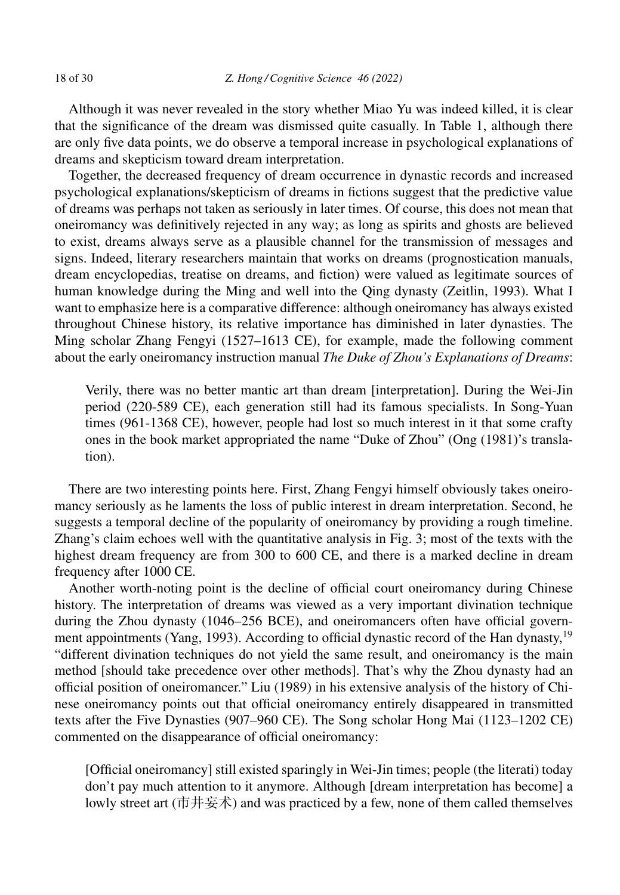Although it was never revealed in the story whether Miao Yu was indeed killed, it is clear that the significance of the dream was dismissed quite casually. In Table 1, although there are only five data points, we do observe a temporal increase in psychological explanations of dreams and skepticism toward dream interpretation.

Together, the decreased frequency of dream occurrence in dynastic records and increased psychological explanations/skepticism of dreams in fictions suggest that the predictive value of dreams was perhaps not taken as seriously in later times. Of course, this does not mean that oneiromancy was definitively rejected in any way; as long as spirits and ghosts are believed to exist, dreams always serve as a plausible channel for the transmission of messages and signs. Indeed, literary researchers maintain that works on dreams (prognostication manuals, dream encyclopedias, treatise on dreams, and fiction) were valued as legitimate sources of human knowledge during the Ming and well into the Qing dynasty (Zeitlin, 1993). What I want to emphasize here is a comparative difference: although oneiromancy has always existed throughout Chinese history, its relative importance has diminished in later dynasties. The Ming scholar Zhang Fengyi (1527–1613 CE), for example, made the following comment about the early oneiromancy instruction manual *The Duke of Zhou's Explanations of Dreams*:

Verily, there was no better mantic art than dream [interpretation]. During the Wei-Jin period (220-589 CE), each generation still had its famous specialists. In Song-Yuan times (961-1368 CE), however, people had lost so much interest in it that some crafty ones in the book market appropriated the name "Duke of Zhou" (Ong (1981)'s translation).

There are two interesting points here. First, Zhang Fengyi himself obviously takes oneiromancy seriously as he laments the loss of public interest in dream interpretation. Second, he suggests a temporal decline of the popularity of oneiromancy by providing a rough timeline. Zhang's claim echoes well with the quantitative analysis in Fig. 3; most of the texts with the highest dream frequency are from 300 to 600 CE, and there is a marked decline in dream frequency after 1000 CE.

Another worth-noting point is the decline of official court oneiromancy during Chinese history. The interpretation of dreams was viewed as a very important divination technique during the Zhou dynasty (1046–256 BCE), and oneiromancers often have official government appointments (Yang, 1993). According to official dynastic record of the Han dynasty,  $19$ "different divination techniques do not yield the same result, and oneiromancy is the main method [should take precedence over other methods]. That's why the Zhou dynasty had an official position of oneiromancer." Liu (1989) in his extensive analysis of the history of Chinese oneiromancy points out that official oneiromancy entirely disappeared in transmitted texts after the Five Dynasties (907–960 CE). The Song scholar Hong Mai (1123–1202 CE) commented on the disappearance of official oneiromancy:

[Official oneiromancy] still existed sparingly in Wei-Jin times; people (the literati) today don't pay much attention to it anymore. Although [dream interpretation has become] a lowly street art (市井妄术) and was practiced by a few, none of them called themselves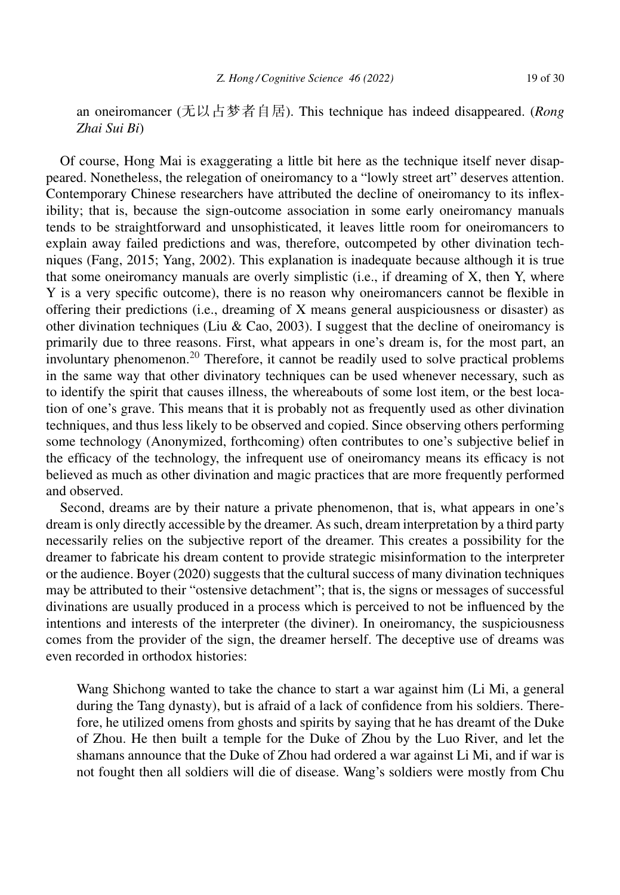an oneiromancer (无以占梦者自居). This technique has indeed disappeared. (*Rong Zhai Sui Bi*)

Of course, Hong Mai is exaggerating a little bit here as the technique itself never disappeared. Nonetheless, the relegation of oneiromancy to a "lowly street art" deserves attention. Contemporary Chinese researchers have attributed the decline of oneiromancy to its inflexibility; that is, because the sign-outcome association in some early oneiromancy manuals tends to be straightforward and unsophisticated, it leaves little room for oneiromancers to explain away failed predictions and was, therefore, outcompeted by other divination techniques (Fang, 2015; Yang, 2002). This explanation is inadequate because although it is true that some oneiromancy manuals are overly simplistic (i.e., if dreaming of X, then Y, where Y is a very specific outcome), there is no reason why oneiromancers cannot be flexible in offering their predictions (i.e., dreaming of X means general auspiciousness or disaster) as other divination techniques (Liu & Cao, 2003). I suggest that the decline of oneiromancy is primarily due to three reasons. First, what appears in one's dream is, for the most part, an involuntary phenomenon.<sup>20</sup> Therefore, it cannot be readily used to solve practical problems in the same way that other divinatory techniques can be used whenever necessary, such as to identify the spirit that causes illness, the whereabouts of some lost item, or the best location of one's grave. This means that it is probably not as frequently used as other divination techniques, and thus less likely to be observed and copied. Since observing others performing some technology (Anonymized, forthcoming) often contributes to one's subjective belief in the efficacy of the technology, the infrequent use of oneiromancy means its efficacy is not believed as much as other divination and magic practices that are more frequently performed and observed.

Second, dreams are by their nature a private phenomenon, that is, what appears in one's dream is only directly accessible by the dreamer. As such, dream interpretation by a third party necessarily relies on the subjective report of the dreamer. This creates a possibility for the dreamer to fabricate his dream content to provide strategic misinformation to the interpreter or the audience. Boyer (2020) suggests that the cultural success of many divination techniques may be attributed to their "ostensive detachment"; that is, the signs or messages of successful divinations are usually produced in a process which is perceived to not be influenced by the intentions and interests of the interpreter (the diviner). In oneiromancy, the suspiciousness comes from the provider of the sign, the dreamer herself. The deceptive use of dreams was even recorded in orthodox histories:

Wang Shichong wanted to take the chance to start a war against him (Li Mi, a general during the Tang dynasty), but is afraid of a lack of confidence from his soldiers. Therefore, he utilized omens from ghosts and spirits by saying that he has dreamt of the Duke of Zhou. He then built a temple for the Duke of Zhou by the Luo River, and let the shamans announce that the Duke of Zhou had ordered a war against Li Mi, and if war is not fought then all soldiers will die of disease. Wang's soldiers were mostly from Chu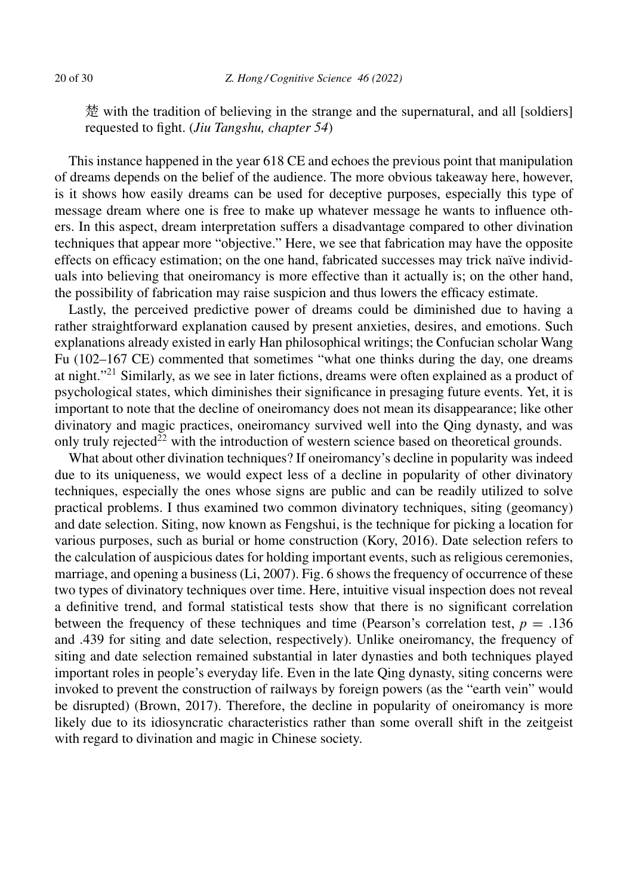楚 with the tradition of believing in the strange and the supernatural, and all [soldiers] requested to fight. (*Jiu Tangshu, chapter 54*)

This instance happened in the year 618 CE and echoes the previous point that manipulation of dreams depends on the belief of the audience. The more obvious takeaway here, however, is it shows how easily dreams can be used for deceptive purposes, especially this type of message dream where one is free to make up whatever message he wants to influence others. In this aspect, dream interpretation suffers a disadvantage compared to other divination techniques that appear more "objective." Here, we see that fabrication may have the opposite effects on efficacy estimation; on the one hand, fabricated successes may trick naïve individuals into believing that oneiromancy is more effective than it actually is; on the other hand, the possibility of fabrication may raise suspicion and thus lowers the efficacy estimate.

Lastly, the perceived predictive power of dreams could be diminished due to having a rather straightforward explanation caused by present anxieties, desires, and emotions. Such explanations already existed in early Han philosophical writings; the Confucian scholar Wang Fu (102–167 CE) commented that sometimes "what one thinks during the day, one dreams at night."<sup>21</sup> Similarly, as we see in later fictions, dreams were often explained as a product of psychological states, which diminishes their significance in presaging future events. Yet, it is important to note that the decline of oneiromancy does not mean its disappearance; like other divinatory and magic practices, oneiromancy survived well into the Qing dynasty, and was only truly rejected<sup>22</sup> with the introduction of western science based on theoretical grounds.

What about other divination techniques? If oneiromancy's decline in popularity was indeed due to its uniqueness, we would expect less of a decline in popularity of other divinatory techniques, especially the ones whose signs are public and can be readily utilized to solve practical problems. I thus examined two common divinatory techniques, siting (geomancy) and date selection. Siting, now known as Fengshui, is the technique for picking a location for various purposes, such as burial or home construction (Kory, 2016). Date selection refers to the calculation of auspicious dates for holding important events, such as religious ceremonies, marriage, and opening a business (Li, 2007). Fig. 6 shows the frequency of occurrence of these two types of divinatory techniques over time. Here, intuitive visual inspection does not reveal a definitive trend, and formal statistical tests show that there is no significant correlation between the frequency of these techniques and time (Pearson's correlation test,  $p = .136$ ) and .439 for siting and date selection, respectively). Unlike oneiromancy, the frequency of siting and date selection remained substantial in later dynasties and both techniques played important roles in people's everyday life. Even in the late Qing dynasty, siting concerns were invoked to prevent the construction of railways by foreign powers (as the "earth vein" would be disrupted) (Brown, 2017). Therefore, the decline in popularity of oneiromancy is more likely due to its idiosyncratic characteristics rather than some overall shift in the zeitgeist with regard to divination and magic in Chinese society.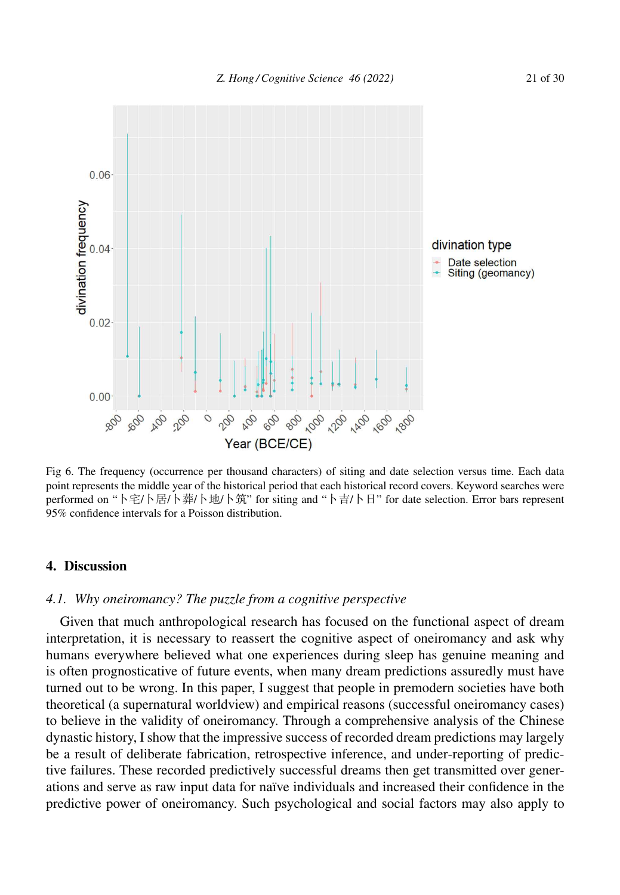

Fig 6. The frequency (occurrence per thousand characters) of siting and date selection versus time. Each data point represents the middle year of the historical period that each historical record covers. Keyword searches were performed on "卜宅/卜居/卜葬/卜地/卜筑" for siting and "卜吉/卜日" for date selection. Error bars represent 95% confidence intervals for a Poisson distribution.

#### **4. Discussion**

# *4.1. Why oneiromancy? The puzzle from a cognitive perspective*

Given that much anthropological research has focused on the functional aspect of dream interpretation, it is necessary to reassert the cognitive aspect of oneiromancy and ask why humans everywhere believed what one experiences during sleep has genuine meaning and is often prognosticative of future events, when many dream predictions assuredly must have turned out to be wrong. In this paper, I suggest that people in premodern societies have both theoretical (a supernatural worldview) and empirical reasons (successful oneiromancy cases) to believe in the validity of oneiromancy. Through a comprehensive analysis of the Chinese dynastic history, I show that the impressive success of recorded dream predictions may largely be a result of deliberate fabrication, retrospective inference, and under-reporting of predictive failures. These recorded predictively successful dreams then get transmitted over generations and serve as raw input data for naïve individuals and increased their confidence in the predictive power of oneiromancy. Such psychological and social factors may also apply to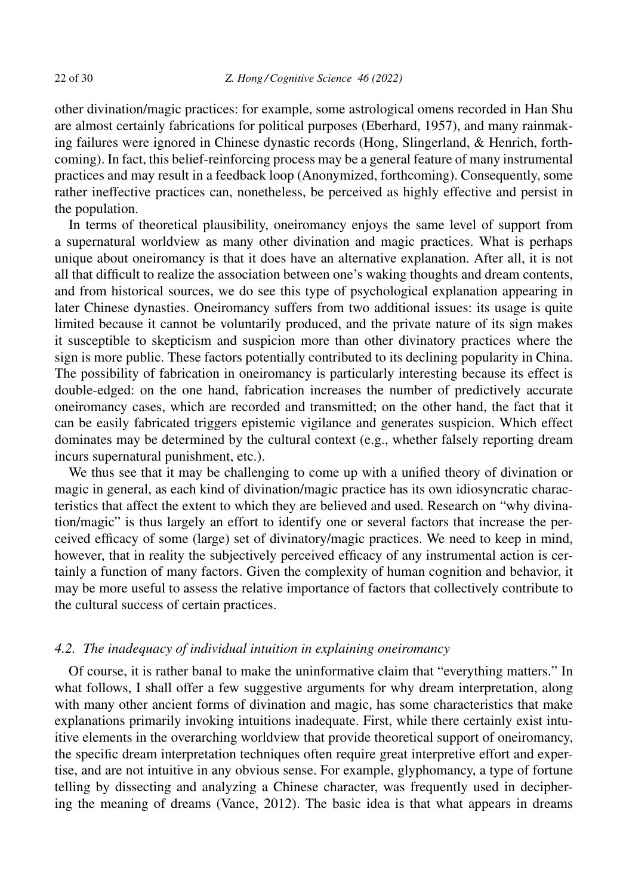other divination/magic practices: for example, some astrological omens recorded in Han Shu are almost certainly fabrications for political purposes (Eberhard, 1957), and many rainmaking failures were ignored in Chinese dynastic records (Hong, Slingerland, & Henrich, forthcoming). In fact, this belief-reinforcing process may be a general feature of many instrumental practices and may result in a feedback loop (Anonymized, forthcoming). Consequently, some rather ineffective practices can, nonetheless, be perceived as highly effective and persist in the population.

In terms of theoretical plausibility, oneiromancy enjoys the same level of support from a supernatural worldview as many other divination and magic practices. What is perhaps unique about oneiromancy is that it does have an alternative explanation. After all, it is not all that difficult to realize the association between one's waking thoughts and dream contents, and from historical sources, we do see this type of psychological explanation appearing in later Chinese dynasties. Oneiromancy suffers from two additional issues: its usage is quite limited because it cannot be voluntarily produced, and the private nature of its sign makes it susceptible to skepticism and suspicion more than other divinatory practices where the sign is more public. These factors potentially contributed to its declining popularity in China. The possibility of fabrication in oneiromancy is particularly interesting because its effect is double-edged: on the one hand, fabrication increases the number of predictively accurate oneiromancy cases, which are recorded and transmitted; on the other hand, the fact that it can be easily fabricated triggers epistemic vigilance and generates suspicion. Which effect dominates may be determined by the cultural context (e.g., whether falsely reporting dream incurs supernatural punishment, etc.).

We thus see that it may be challenging to come up with a unified theory of divination or magic in general, as each kind of divination/magic practice has its own idiosyncratic characteristics that affect the extent to which they are believed and used. Research on "why divination/magic" is thus largely an effort to identify one or several factors that increase the perceived efficacy of some (large) set of divinatory/magic practices. We need to keep in mind, however, that in reality the subjectively perceived efficacy of any instrumental action is certainly a function of many factors. Given the complexity of human cognition and behavior, it may be more useful to assess the relative importance of factors that collectively contribute to the cultural success of certain practices.

#### *4.2. The inadequacy of individual intuition in explaining oneiromancy*

Of course, it is rather banal to make the uninformative claim that "everything matters." In what follows, I shall offer a few suggestive arguments for why dream interpretation, along with many other ancient forms of divination and magic, has some characteristics that make explanations primarily invoking intuitions inadequate. First, while there certainly exist intuitive elements in the overarching worldview that provide theoretical support of oneiromancy, the specific dream interpretation techniques often require great interpretive effort and expertise, and are not intuitive in any obvious sense. For example, glyphomancy, a type of fortune telling by dissecting and analyzing a Chinese character, was frequently used in deciphering the meaning of dreams (Vance, 2012). The basic idea is that what appears in dreams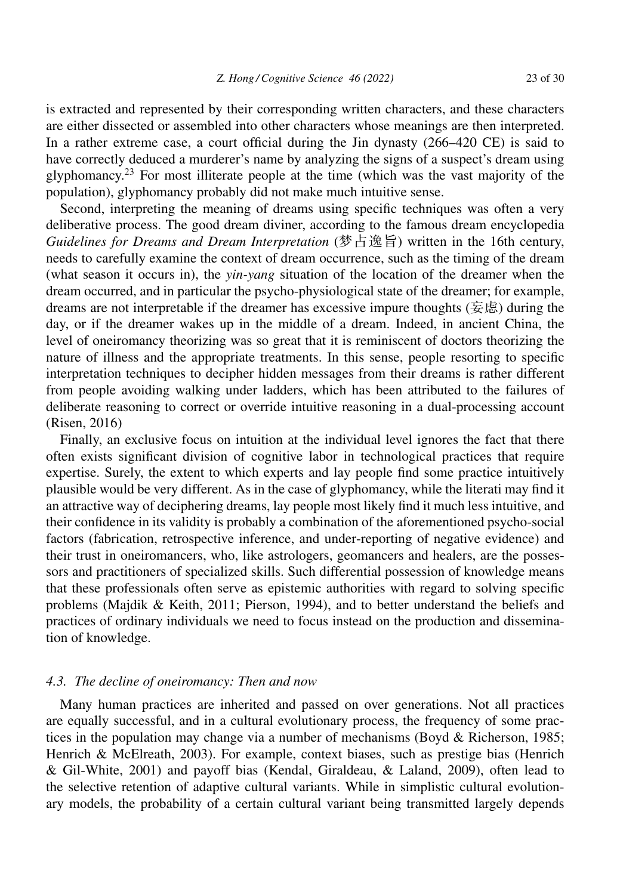is extracted and represented by their corresponding written characters, and these characters are either dissected or assembled into other characters whose meanings are then interpreted. In a rather extreme case, a court official during the Jin dynasty (266–420 CE) is said to have correctly deduced a murderer's name by analyzing the signs of a suspect's dream using glyphomancy.<sup>23</sup> For most illiterate people at the time (which was the vast majority of the population), glyphomancy probably did not make much intuitive sense.

Second, interpreting the meaning of dreams using specific techniques was often a very deliberative process. The good dream diviner, according to the famous dream encyclopedia Guidelines for Dreams and Dream Interpretation (梦占逸旨) written in the 16th century, needs to carefully examine the context of dream occurrence, such as the timing of the dream (what season it occurs in), the *yin-yang* situation of the location of the dreamer when the dream occurred, and in particular the psycho-physiological state of the dreamer; for example, dreams are not interpretable if the dreamer has excessive impure thoughts (妄虑) during the day, or if the dreamer wakes up in the middle of a dream. Indeed, in ancient China, the level of oneiromancy theorizing was so great that it is reminiscent of doctors theorizing the nature of illness and the appropriate treatments. In this sense, people resorting to specific interpretation techniques to decipher hidden messages from their dreams is rather different from people avoiding walking under ladders, which has been attributed to the failures of deliberate reasoning to correct or override intuitive reasoning in a dual-processing account (Risen, 2016)

Finally, an exclusive focus on intuition at the individual level ignores the fact that there often exists significant division of cognitive labor in technological practices that require expertise. Surely, the extent to which experts and lay people find some practice intuitively plausible would be very different. As in the case of glyphomancy, while the literati may find it an attractive way of deciphering dreams, lay people most likely find it much less intuitive, and their confidence in its validity is probably a combination of the aforementioned psycho-social factors (fabrication, retrospective inference, and under-reporting of negative evidence) and their trust in oneiromancers, who, like astrologers, geomancers and healers, are the possessors and practitioners of specialized skills. Such differential possession of knowledge means that these professionals often serve as epistemic authorities with regard to solving specific problems (Majdik & Keith, 2011; Pierson, 1994), and to better understand the beliefs and practices of ordinary individuals we need to focus instead on the production and dissemination of knowledge.

### *4.3. The decline of oneiromancy: Then and now*

Many human practices are inherited and passed on over generations. Not all practices are equally successful, and in a cultural evolutionary process, the frequency of some practices in the population may change via a number of mechanisms (Boyd & Richerson, 1985; Henrich & McElreath, 2003). For example, context biases, such as prestige bias (Henrich & Gil-White, 2001) and payoff bias (Kendal, Giraldeau, & Laland, 2009), often lead to the selective retention of adaptive cultural variants. While in simplistic cultural evolutionary models, the probability of a certain cultural variant being transmitted largely depends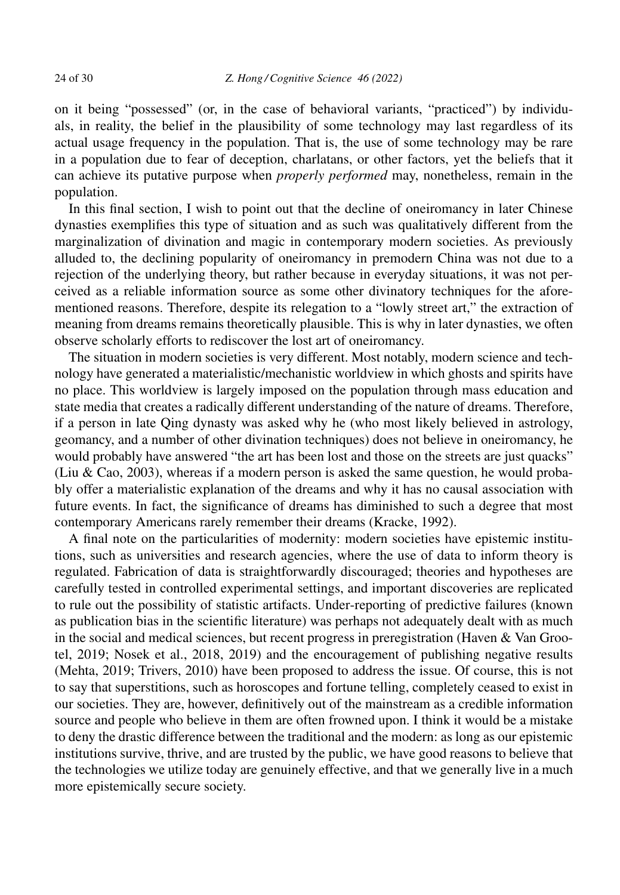on it being "possessed" (or, in the case of behavioral variants, "practiced") by individuals, in reality, the belief in the plausibility of some technology may last regardless of its actual usage frequency in the population. That is, the use of some technology may be rare in a population due to fear of deception, charlatans, or other factors, yet the beliefs that it can achieve its putative purpose when *properly performed* may, nonetheless, remain in the population.

In this final section, I wish to point out that the decline of oneiromancy in later Chinese dynasties exemplifies this type of situation and as such was qualitatively different from the marginalization of divination and magic in contemporary modern societies. As previously alluded to, the declining popularity of oneiromancy in premodern China was not due to a rejection of the underlying theory, but rather because in everyday situations, it was not perceived as a reliable information source as some other divinatory techniques for the aforementioned reasons. Therefore, despite its relegation to a "lowly street art," the extraction of meaning from dreams remains theoretically plausible. This is why in later dynasties, we often observe scholarly efforts to rediscover the lost art of oneiromancy.

The situation in modern societies is very different. Most notably, modern science and technology have generated a materialistic/mechanistic worldview in which ghosts and spirits have no place. This worldview is largely imposed on the population through mass education and state media that creates a radically different understanding of the nature of dreams. Therefore, if a person in late Qing dynasty was asked why he (who most likely believed in astrology, geomancy, and a number of other divination techniques) does not believe in oneiromancy, he would probably have answered "the art has been lost and those on the streets are just quacks" (Liu & Cao, 2003), whereas if a modern person is asked the same question, he would probably offer a materialistic explanation of the dreams and why it has no causal association with future events. In fact, the significance of dreams has diminished to such a degree that most contemporary Americans rarely remember their dreams (Kracke, 1992).

A final note on the particularities of modernity: modern societies have epistemic institutions, such as universities and research agencies, where the use of data to inform theory is regulated. Fabrication of data is straightforwardly discouraged; theories and hypotheses are carefully tested in controlled experimental settings, and important discoveries are replicated to rule out the possibility of statistic artifacts. Under-reporting of predictive failures (known as publication bias in the scientific literature) was perhaps not adequately dealt with as much in the social and medical sciences, but recent progress in preregistration (Haven  $\&$  Van Grootel, 2019; Nosek et al., 2018, 2019) and the encouragement of publishing negative results (Mehta, 2019; Trivers, 2010) have been proposed to address the issue. Of course, this is not to say that superstitions, such as horoscopes and fortune telling, completely ceased to exist in our societies. They are, however, definitively out of the mainstream as a credible information source and people who believe in them are often frowned upon. I think it would be a mistake to deny the drastic difference between the traditional and the modern: as long as our epistemic institutions survive, thrive, and are trusted by the public, we have good reasons to believe that the technologies we utilize today are genuinely effective, and that we generally live in a much more epistemically secure society.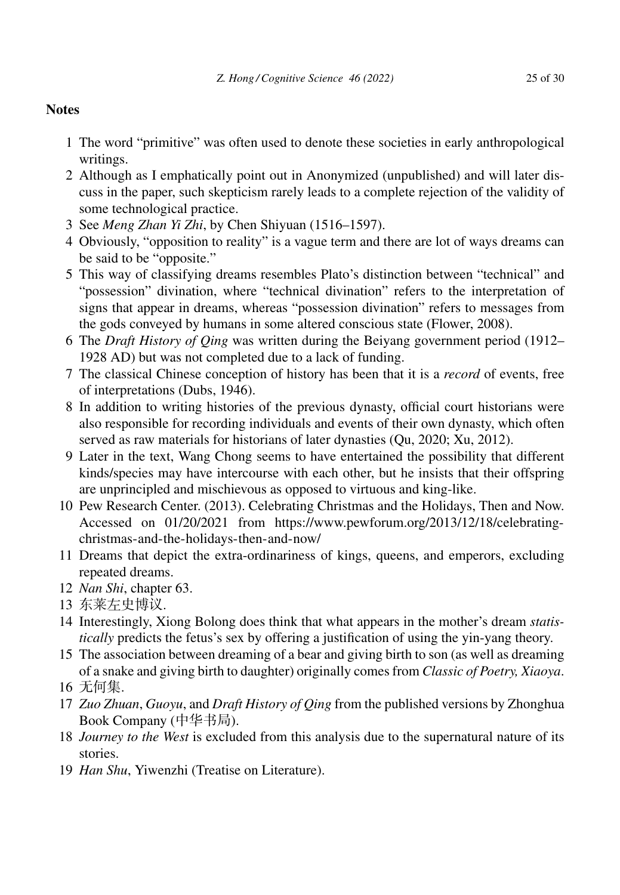# **Notes**

- 1 The word "primitive" was often used to denote these societies in early anthropological writings.
- 2 Although as I emphatically point out in Anonymized (unpublished) and will later discuss in the paper, such skepticism rarely leads to a complete rejection of the validity of some technological practice.
- 3 See *Meng Zhan Yi Zhi*, by Chen Shiyuan (1516–1597).
- 4 Obviously, "opposition to reality" is a vague term and there are lot of ways dreams can be said to be "opposite."
- 5 This way of classifying dreams resembles Plato's distinction between "technical" and "possession" divination, where "technical divination" refers to the interpretation of signs that appear in dreams, whereas "possession divination" refers to messages from the gods conveyed by humans in some altered conscious state (Flower, 2008).
- 6 The *Draft History of Qing* was written during the Beiyang government period (1912– 1928 AD) but was not completed due to a lack of funding.
- 7 The classical Chinese conception of history has been that it is a *record* of events, free of interpretations (Dubs, 1946).
- 8 In addition to writing histories of the previous dynasty, official court historians were also responsible for recording individuals and events of their own dynasty, which often served as raw materials for historians of later dynasties (Qu, 2020; Xu, 2012).
- 9 Later in the text, Wang Chong seems to have entertained the possibility that different kinds/species may have intercourse with each other, but he insists that their offspring are unprincipled and mischievous as opposed to virtuous and king-like.
- 10 Pew Research Center. (2013). Celebrating Christmas and the Holidays, Then and Now. Accessed on 01/20/2021 from https://www.pewforum.org/2013/12/18/celebratingchristmas-and-the-holidays-then-and-now/
- 11 Dreams that depict the extra-ordinariness of kings, queens, and emperors, excluding repeated dreams.
- 12 *Nan Shi*, chapter 63.
- 13 东莱左史博议.
- 14 Interestingly, Xiong Bolong does think that what appears in the mother's dream *statistically* predicts the fetus's sex by offering a justification of using the yin-yang theory.
- 15 The association between dreaming of a bear and giving birth to son (as well as dreaming of a snake and giving birth to daughter) originally comes from *Classic of Poetry, Xiaoya*.
- 16 无何集.
- 17 *Zuo Zhuan*, *Guoyu*, and *Draft History of Qing* from the published versions by Zhonghua Book Company  $($ 中华书局 $)$ .
- 18 *Journey to the West* is excluded from this analysis due to the supernatural nature of its stories.
- 19 *Han Shu*, Yiwenzhi (Treatise on Literature).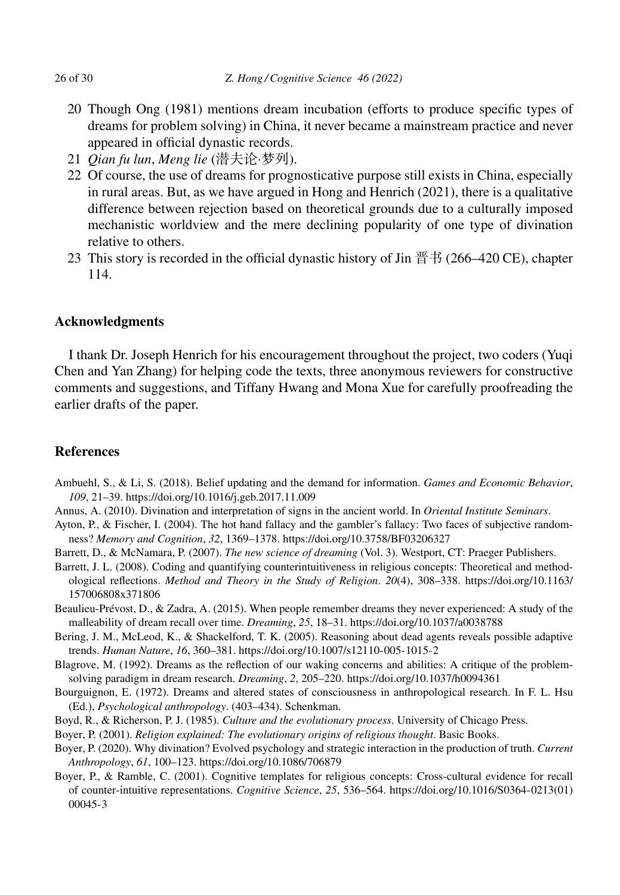- 20 Though Ong (1981) mentions dream incubation (efforts to produce specific types of dreams for problem solving) in China, it never became a mainstream practice and never appeared in official dynastic records.
- 21 Qian fu lun, Meng lie (潜夫论·梦列).
- 22 Of course, the use of dreams for prognosticative purpose still exists in China, especially in rural areas. But, as we have argued in Hong and Henrich (2021), there is a qualitative difference between rejection based on theoretical grounds due to a culturally imposed mechanistic worldview and the mere declining popularity of one type of divination relative to others.
- 23 This story is recorded in the official dynastic history of Jin 晋书 (266–420 CE), chapter 114.

# **Acknowledgments**

I thank Dr. Joseph Henrich for his encouragement throughout the project, two coders (Yuqi Chen and Yan Zhang) for helping code the texts, three anonymous reviewers for constructive comments and suggestions, and Tiffany Hwang and Mona Xue for carefully proofreading the earlier drafts of the paper.

# **References**

- Ambuehl, S., & Li, S. (2018). Belief updating and the demand for information. *Games and Economic Behavior*, *109*, 21–39. https://doi.org/10.1016/j.geb.2017.11.009
- Annus, A. (2010). Divination and interpretation of signs in the ancient world. In *Oriental Institute Seminars*.
- Ayton, P., & Fischer, I. (2004). The hot hand fallacy and the gambler's fallacy: Two faces of subjective randomness? *Memory and Cognition*, *32*, 1369–1378. https://doi.org/10.3758/BF03206327
- Barrett, D., & McNamara, P. (2007). *The new science of dreaming* (Vol. 3). Westport, CT: Praeger Publishers.
- Barrett, J. L. (2008). Coding and quantifying counterintuitiveness in religious concepts: Theoretical and methodological reflections. *Method and Theory in the Study of Religion*. *20*(4), 308–338. https://doi.org/10.1163/ 157006808x371806
- Beaulieu-Prévost, D., & Zadra, A. (2015). When people remember dreams they never experienced: A study of the malleability of dream recall over time. *Dreaming*, *25*, 18–31. https://doi.org/10.1037/a0038788
- Bering, J. M., McLeod, K., & Shackelford, T. K. (2005). Reasoning about dead agents reveals possible adaptive trends. *Human Nature*, *16*, 360–381. https://doi.org/10.1007/s12110-005-1015-2
- Blagrove, M. (1992). Dreams as the reflection of our waking concerns and abilities: A critique of the problemsolving paradigm in dream research. *Dreaming*, *2*, 205–220. https://doi.org/10.1037/h0094361
- Bourguignon, E. (1972). Dreams and altered states of consciousness in anthropological research. In F. L. Hsu (Ed.), *Psychological anthropology*. (403–434). Schenkman.
- Boyd, R., & Richerson, P. J. (1985). *Culture and the evolutionary process*. University of Chicago Press.
- Boyer, P. (2001). *Religion explained: The evolutionary origins of religious thought*. Basic Books.
- Boyer, P. (2020). Why divination? Evolved psychology and strategic interaction in the production of truth. *Current Anthropology*, *61*, 100–123. https://doi.org/10.1086/706879
- Boyer, P., & Ramble, C. (2001). Cognitive templates for religious concepts: Cross-cultural evidence for recall of counter-intuitive representations. *Cognitive Science*, *25*, 536–564. https://doi.org/10.1016/S0364-0213(01) 00045-3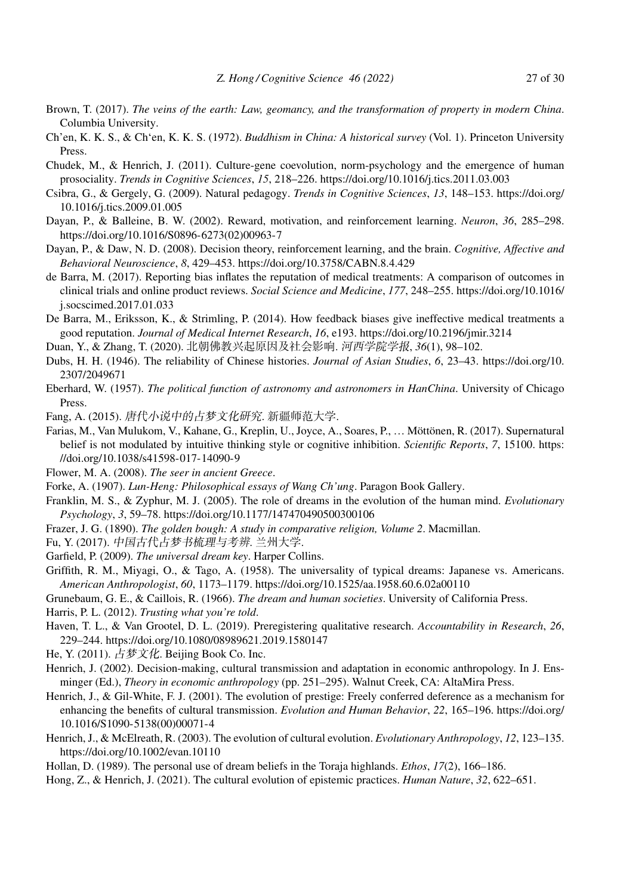- Brown, T. (2017). *The veins of the earth: Law, geomancy, and the transformation of property in modern China*. Columbia University.
- Ch'en, K. K. S., & Chʻen, K. K. S. (1972). *Buddhism in China: A historical survey* (Vol. 1). Princeton University Press.
- Chudek, M., & Henrich, J. (2011). Culture-gene coevolution, norm-psychology and the emergence of human prosociality. *Trends in Cognitive Sciences*, *15*, 218–226. https://doi.org/10.1016/j.tics.2011.03.003
- Csibra, G., & Gergely, G. (2009). Natural pedagogy. *Trends in Cognitive Sciences*, *13*, 148–153. https://doi.org/ 10.1016/j.tics.2009.01.005
- Dayan, P., & Balleine, B. W. (2002). Reward, motivation, and reinforcement learning. *Neuron*, *36*, 285–298. https://doi.org/10.1016/S0896-6273(02)00963-7
- Dayan, P., & Daw, N. D. (2008). Decision theory, reinforcement learning, and the brain. *Cognitive, Affective and Behavioral Neuroscience*, *8*, 429–453. https://doi.org/10.3758/CABN.8.4.429
- de Barra, M. (2017). Reporting bias inflates the reputation of medical treatments: A comparison of outcomes in clinical trials and online product reviews. *Social Science and Medicine*, *177*, 248–255. https://doi.org/10.1016/ j.socscimed.2017.01.033
- De Barra, M., Eriksson, K., & Strimling, P. (2014). How feedback biases give ineffective medical treatments a good reputation. *Journal of Medical Internet Research*, *16*, e193. https://doi.org/10.2196/jmir.3214
- Duan, Y., & Zhang, T. (2020). 北朝佛教兴起原因及社会影响. *河西学院学报, 36*(1), 98–102.
- Dubs, H. H. (1946). The reliability of Chinese histories. *Journal of Asian Studies*, *6*, 23–43. https://doi.org/10. 2307/2049671
- Eberhard, W. (1957). *The political function of astronomy and astronomers in HanChina*. University of Chicago Press.
- Fang, A. (2015). 唐代小说中的占梦文化研究. 新疆师范大学.
- Farias, M., Van Mulukom, V., Kahane, G., Kreplin, U., Joyce, A., Soares, P., … Möttönen, R. (2017). Supernatural belief is not modulated by intuitive thinking style or cognitive inhibition. *Scientific Reports*, *7*, 15100. https: //doi.org/10.1038/s41598-017-14090-9
- Flower, M. A. (2008). *The seer in ancient Greece*.
- Forke, A. (1907). *Lun-Heng: Philosophical essays of Wang Ch'ung*. Paragon Book Gallery.
- Franklin, M. S., & Zyphur, M. J. (2005). The role of dreams in the evolution of the human mind. *Evolutionary Psychology*, *3*, 59–78. https://doi.org/10.1177/147470490500300106
- Frazer, J. G. (1890). *The golden bough: A study in comparative religion, Volume 2*. Macmillan.
- Fu, Y. (2017). 中国古代占梦书梳理与考辨. 兰州大学.
- Garfield, P. (2009). *The universal dream key*. Harper Collins.
- Griffith, R. M., Miyagi, O., & Tago, A. (1958). The universality of typical dreams: Japanese vs. Americans. *American Anthropologist*, *60*, 1173–1179. https://doi.org/10.1525/aa.1958.60.6.02a00110
- Grunebaum, G. E., & Caillois, R. (1966). *The dream and human societies*. University of California Press.

Harris, P. L. (2012). *Trusting what you're told*.

- Haven, T. L., & Van Grootel, D. L. (2019). Preregistering qualitative research. *Accountability in Research*, *26*, 229–244. https://doi.org/10.1080/08989621.2019.1580147
- He, Y. (2011). 占梦文化. Beijing Book Co. Inc.
- Henrich, J. (2002). Decision-making, cultural transmission and adaptation in economic anthropology. In J. Ensminger (Ed.), *Theory in economic anthropology* (pp. 251–295). Walnut Creek, CA: AltaMira Press.
- Henrich, J., & Gil-White, F. J. (2001). The evolution of prestige: Freely conferred deference as a mechanism for enhancing the benefits of cultural transmission. *Evolution and Human Behavior*, *22*, 165–196. https://doi.org/ 10.1016/S1090-5138(00)00071-4
- Henrich, J., & McElreath, R. (2003). The evolution of cultural evolution. *Evolutionary Anthropology*, *12*, 123–135. https://doi.org/10.1002/evan.10110
- Hollan, D. (1989). The personal use of dream beliefs in the Toraja highlands. *Ethos*, *17*(2), 166–186.
- Hong, Z., & Henrich, J. (2021). The cultural evolution of epistemic practices. *Human Nature*, *32*, 622–651.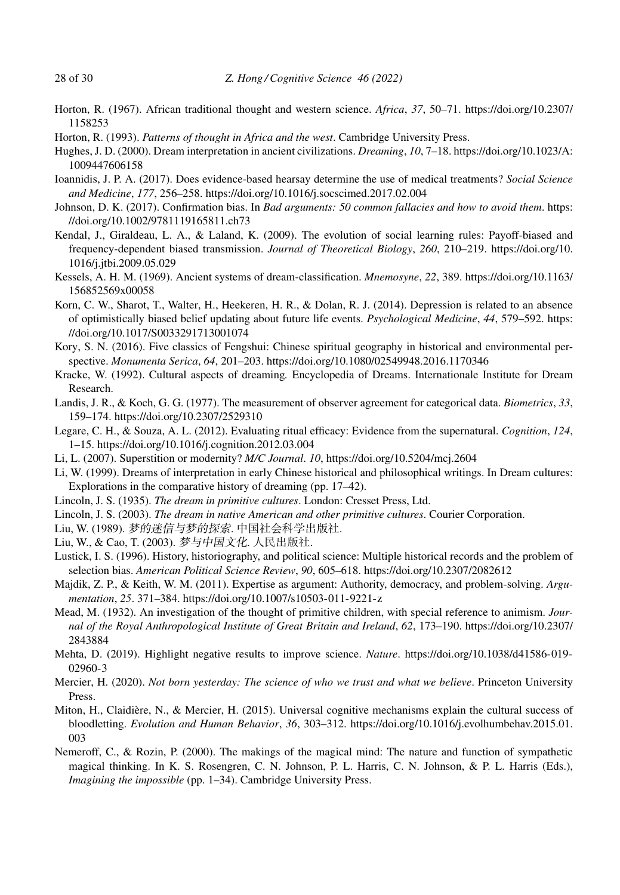- Horton, R. (1967). African traditional thought and western science. *Africa*, *37*, 50–71. https://doi.org/10.2307/ 1158253
- Horton, R. (1993). *Patterns of thought in Africa and the west*. Cambridge University Press.
- Hughes, J. D. (2000). Dream interpretation in ancient civilizations. *Dreaming*, *10*, 7–18. https://doi.org/10.1023/A: 1009447606158
- Ioannidis, J. P. A. (2017). Does evidence-based hearsay determine the use of medical treatments? *Social Science and Medicine*, *177*, 256–258. https://doi.org/10.1016/j.socscimed.2017.02.004
- Johnson, D. K. (2017). Confirmation bias. In *Bad arguments: 50 common fallacies and how to avoid them*. https: //doi.org/10.1002/9781119165811.ch73
- Kendal, J., Giraldeau, L. A., & Laland, K. (2009). The evolution of social learning rules: Payoff-biased and frequency-dependent biased transmission. *Journal of Theoretical Biology*, *260*, 210–219. https://doi.org/10. 1016/j.jtbi.2009.05.029
- Kessels, A. H. M. (1969). Ancient systems of dream-classification. *Mnemosyne*, *22*, 389. https://doi.org/10.1163/ 156852569x00058
- Korn, C. W., Sharot, T., Walter, H., Heekeren, H. R., & Dolan, R. J. (2014). Depression is related to an absence of optimistically biased belief updating about future life events. *Psychological Medicine*, *44*, 579–592. https: //doi.org/10.1017/S0033291713001074
- Kory, S. N. (2016). Five classics of Fengshui: Chinese spiritual geography in historical and environmental perspective. *Monumenta Serica*, *64*, 201–203. https://doi.org/10.1080/02549948.2016.1170346
- Kracke, W. (1992). Cultural aspects of dreaming*.* Encyclopedia of Dreams. Internationale Institute for Dream Research.
- Landis, J. R., & Koch, G. G. (1977). The measurement of observer agreement for categorical data. *Biometrics*, *33*, 159–174. https://doi.org/10.2307/2529310
- Legare, C. H., & Souza, A. L. (2012). Evaluating ritual efficacy: Evidence from the supernatural. *Cognition*, *124*, 1–15. https://doi.org/10.1016/j.cognition.2012.03.004
- Li, L. (2007). Superstition or modernity? *M/C Journal*. *10*, https://doi.org/10.5204/mcj.2604
- Li, W. (1999). Dreams of interpretation in early Chinese historical and philosophical writings. In Dream cultures: Explorations in the comparative history of dreaming (pp. 17–42).
- Lincoln, J. S. (1935). *The dream in primitive cultures*. London: Cresset Press, Ltd.
- Lincoln, J. S. (2003). *The dream in native American and other primitive cultures*. Courier Corporation.
- Liu, W. (1989). *梦的迷信与梦的探索*. 中国社会科学出版社.
- Liu, W., & Cao, T. (2003). 梦与中国文化. 人民出版社.
- Lustick, I. S. (1996). History, historiography, and political science: Multiple historical records and the problem of selection bias. *American Political Science Review*, *90*, 605–618. https://doi.org/10.2307/2082612
- Majdik, Z. P., & Keith, W. M. (2011). Expertise as argument: Authority, democracy, and problem-solving. *Argumentation*, *25*. 371–384. https://doi.org/10.1007/s10503-011-9221-z
- Mead, M. (1932). An investigation of the thought of primitive children, with special reference to animism. *Journal of the Royal Anthropological Institute of Great Britain and Ireland*, *62*, 173–190. https://doi.org/10.2307/ 2843884
- Mehta, D. (2019). Highlight negative results to improve science. *Nature*. https://doi.org/10.1038/d41586-019- 02960-3
- Mercier, H. (2020). *Not born yesterday: The science of who we trust and what we believe*. Princeton University Press.
- Miton, H., Claidière, N., & Mercier, H. (2015). Universal cognitive mechanisms explain the cultural success of bloodletting. *Evolution and Human Behavior*, *36*, 303–312. https://doi.org/10.1016/j.evolhumbehav.2015.01. 003
- Nemeroff, C., & Rozin, P. (2000). The makings of the magical mind: The nature and function of sympathetic magical thinking. In K. S. Rosengren, C. N. Johnson, P. L. Harris, C. N. Johnson, & P. L. Harris (Eds.), *Imagining the impossible* (pp. 1–34). Cambridge University Press.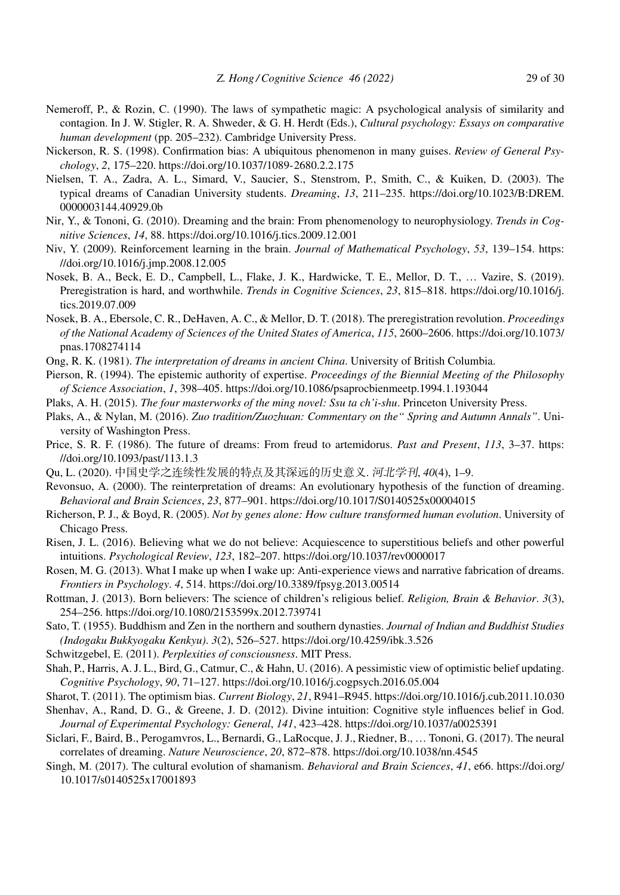- Nemeroff, P., & Rozin, C. (1990). The laws of sympathetic magic: A psychological analysis of similarity and contagion. In J. W. Stigler, R. A. Shweder, & G. H. Herdt (Eds.), *Cultural psychology: Essays on comparative human development* (pp. 205–232). Cambridge University Press.
- Nickerson, R. S. (1998). Confirmation bias: A ubiquitous phenomenon in many guises. *Review of General Psychology*, *2*, 175–220. https://doi.org/10.1037/1089-2680.2.2.175
- Nielsen, T. A., Zadra, A. L., Simard, V., Saucier, S., Stenstrom, P., Smith, C., & Kuiken, D. (2003). The typical dreams of Canadian University students. *Dreaming*, *13*, 211–235. https://doi.org/10.1023/B:DREM. 0000003144.40929.0b
- Nir, Y., & Tononi, G. (2010). Dreaming and the brain: From phenomenology to neurophysiology. *Trends in Cognitive Sciences*, *14*, 88. https://doi.org/10.1016/j.tics.2009.12.001
- Niv, Y. (2009). Reinforcement learning in the brain. *Journal of Mathematical Psychology*, *53*, 139–154. https: //doi.org/10.1016/j.jmp.2008.12.005
- Nosek, B. A., Beck, E. D., Campbell, L., Flake, J. K., Hardwicke, T. E., Mellor, D. T., … Vazire, S. (2019). Preregistration is hard, and worthwhile. *Trends in Cognitive Sciences*, *23*, 815–818. https://doi.org/10.1016/j. tics.2019.07.009
- Nosek, B. A., Ebersole, C. R., DeHaven, A. C., & Mellor, D. T. (2018). The preregistration revolution. *Proceedings of the National Academy of Sciences of the United States of America*, *115*, 2600–2606. https://doi.org/10.1073/ pnas.1708274114
- Ong, R. K. (1981). *The interpretation of dreams in ancient China*. University of British Columbia.
- Pierson, R. (1994). The epistemic authority of expertise. *Proceedings of the Biennial Meeting of the Philosophy of Science Association*, *1*, 398–405. https://doi.org/10.1086/psaprocbienmeetp.1994.1.193044
- Plaks, A. H. (2015). *The four masterworks of the ming novel: Ssu ta ch'i-shu*. Princeton University Press.
- Plaks, A., & Nylan, M. (2016). *Zuo tradition/Zuozhuan: Commentary on the" Spring and Autumn Annals"*. University of Washington Press.
- Price, S. R. F. (1986). The future of dreams: From freud to artemidorus. *Past and Present*, *113*, 3–37. https: //doi.org/10.1093/past/113.1.3
- Qu, L. (2020). 中国史学之连续性发展的特点及其深远的历史意义. 河北学刊, 40(4), 1-9.
- Revonsuo, A. (2000). The reinterpretation of dreams: An evolutionary hypothesis of the function of dreaming. *Behavioral and Brain Sciences*, *23*, 877–901. https://doi.org/10.1017/S0140525x00004015
- Richerson, P. J., & Boyd, R. (2005). *Not by genes alone: How culture transformed human evolution*. University of Chicago Press.
- Risen, J. L. (2016). Believing what we do not believe: Acquiescence to superstitious beliefs and other powerful intuitions. *Psychological Review*, *123*, 182–207. https://doi.org/10.1037/rev0000017
- Rosen, M. G. (2013). What I make up when I wake up: Anti-experience views and narrative fabrication of dreams. *Frontiers in Psychology*. *4*, 514. https://doi.org/10.3389/fpsyg.2013.00514
- Rottman, J. (2013). Born believers: The science of children's religious belief. *Religion, Brain & Behavior*. *3*(3), 254–256. https://doi.org/10.1080/2153599x.2012.739741
- Sato, T. (1955). Buddhism and Zen in the northern and southern dynasties. *Journal of Indian and Buddhist Studies (Indogaku Bukkyogaku Kenkyu)*. *3*(2), 526–527. https://doi.org/10.4259/ibk.3.526
- Schwitzgebel, E. (2011). *Perplexities of consciousness*. MIT Press.
- Shah, P., Harris, A. J. L., Bird, G., Catmur, C., & Hahn, U. (2016). A pessimistic view of optimistic belief updating. *Cognitive Psychology*, *90*, 71–127. https://doi.org/10.1016/j.cogpsych.2016.05.004
- Sharot, T. (2011). The optimism bias. *Current Biology*, *21*, R941–R945. https://doi.org/10.1016/j.cub.2011.10.030
- Shenhav, A., Rand, D. G., & Greene, J. D. (2012). Divine intuition: Cognitive style influences belief in God. *Journal of Experimental Psychology: General*, *141*, 423–428. https://doi.org/10.1037/a0025391
- Siclari, F., Baird, B., Perogamvros, L., Bernardi, G., LaRocque, J. J., Riedner, B., … Tononi, G. (2017). The neural correlates of dreaming. *Nature Neuroscience*, *20*, 872–878. https://doi.org/10.1038/nn.4545
- Singh, M. (2017). The cultural evolution of shamanism. *Behavioral and Brain Sciences*, *41*, e66. https://doi.org/ 10.1017/s0140525x17001893